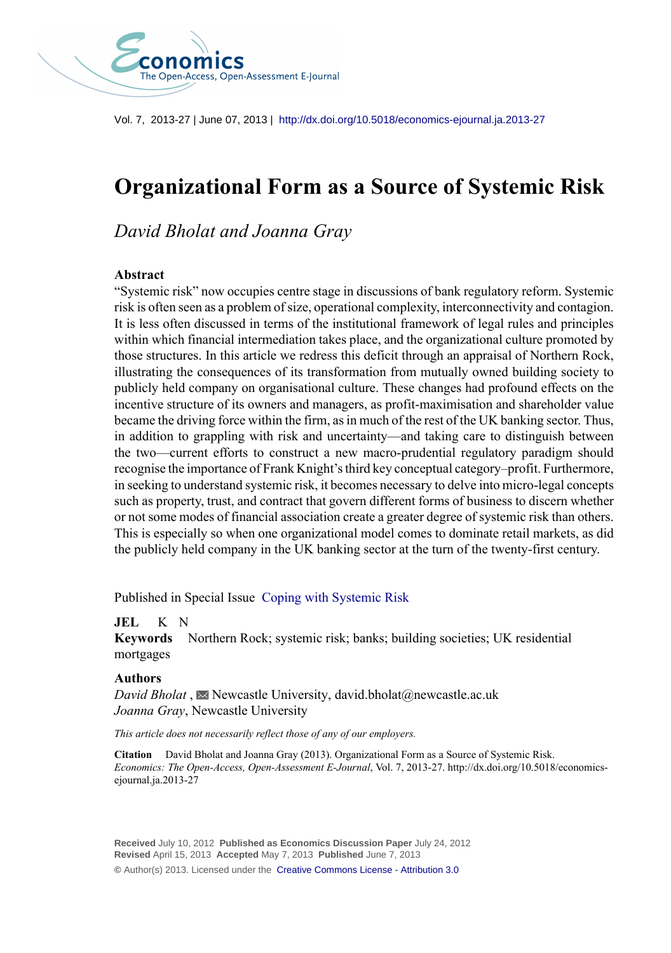

Vol. 7, 2013-27 | June 07, 2013 | <http://dx.doi.org/10.5018/economics-ejournal.ja.2013-27>

# **Organizational Form as a Source of Systemic Risk**

*David Bholat and Joanna Gray*

#### **Abstract**

"Systemic risk" now occupies centre stage in discussions of bank regulatory reform. Systemic risk is often seen as a problem of size, operational complexity, interconnectivity and contagion. It is less often discussed in terms of the institutional framework of legal rules and principles within which financial intermediation takes place, and the organizational culture promoted by those structures. In this article we redress this deficit through an appraisal of Northern Rock, illustrating the consequences of its transformation from mutually owned building society to publicly held company on organisational culture. These changes had profound effects on the incentive structure of its owners and managers, as profit-maximisation and shareholder value became the driving force within the firm, as in much of the rest of the UK banking sector. Thus, in addition to grappling with risk and uncertainty—and taking care to distinguish between the two—current efforts to construct a new macro-prudential regulatory paradigm should recognise the importance of Frank Knight's third key conceptual category–profit. Furthermore, in seeking to understand systemic risk, it becomes necessary to delve into micro-legal concepts such as property, trust, and contract that govern different forms of business to discern whether or not some modes of financial association create a greater degree of systemic risk than others. This is especially so when one organizational model comes to dominate retail markets, as did the publicly held company in the UK banking sector at the turn of the twenty-first century.

Published in Special Issue [Coping with Systemic Risk](http://www.economics-ejournal.org/special-areas/special-issues/coping-with-systemic-risk)

**JEL** K N

**Keywords** Northern Rock; systemic risk; banks; building societies; UK residential mortgages

#### **Authors**

*David Bholat*, **⊠** Newcastle University, david.bholat@newcastle.ac.uk *Joanna Gray*, Newcastle University

*This article does not necessarily reflect those of any of our employers.*

**Citation** David Bholat and Joanna Gray (2013). Organizational Form as a Source of Systemic Risk. *Economics: The Open-Access, Open-Assessment E-Journal*, Vol. 7, 2013-27. http://dx.doi.org/10.5018/economicsejournal.ja.2013-27

**Received** July 10, 2012 **Published as Economics Discussion Paper** July 24, 2012 **Revised** April 15, 2013 **Accepted** May 7, 2013 **Published** June 7, 2013

**©** Author(s) 2013. Licensed under the [Creative Commons License - Attribution 3.0](http://creativecommons.org/licenses/by/3.0/)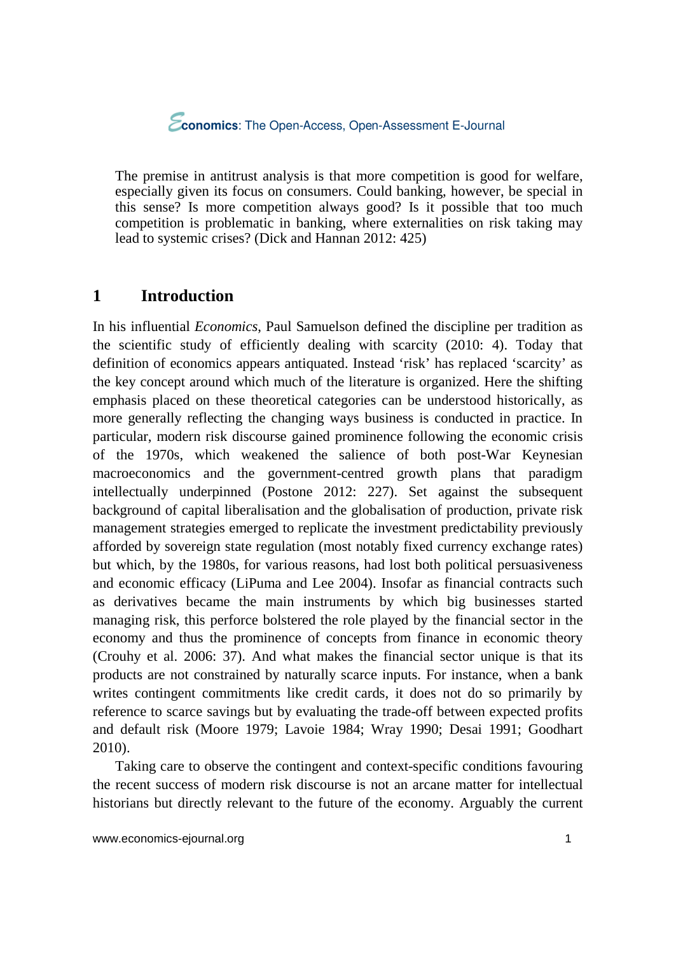The premise in antitrust analysis is that more competition is good for welfare, especially given its focus on consumers. Could banking, however, be special in this sense? Is more competition always good? Is it possible that too much competition is problematic in banking, where externalities on risk taking may lead to systemic crises? (Dick and Hannan 2012: 425)

#### **1 Introduction**

In his influential *Economics*, Paul Samuelson defined the discipline per tradition as the scientific study of efficiently dealing with scarcity (2010: 4). Today that definition of economics appears antiquated. Instead 'risk' has replaced 'scarcity' as the key concept around which much of the literature is organized. Here the shifting emphasis placed on these theoretical categories can be understood historically, as more generally reflecting the changing ways business is conducted in practice. In particular, modern risk discourse gained prominence following the economic crisis of the 1970s, which weakened the salience of both post-War Keynesian macroeconomics and the government-centred growth plans that paradigm intellectually underpinned (Postone 2012: 227). Set against the subsequent background of capital liberalisation and the globalisation of production, private risk management strategies emerged to replicate the investment predictability previously afforded by sovereign state regulation (most notably fixed currency exchange rates) but which, by the 1980s, for various reasons, had lost both political persuasiveness and economic efficacy (LiPuma and Lee 2004). Insofar as financial contracts such as derivatives became the main instruments by which big businesses started managing risk, this perforce bolstered the role played by the financial sector in the economy and thus the prominence of concepts from finance in economic theory (Crouhy et al. 2006: 37). And what makes the financial sector unique is that its products are not constrained by naturally scarce inputs. For instance, when a bank writes contingent commitments like credit cards, it does not do so primarily by reference to scarce savings but by evaluating the trade-off between expected profits and default risk (Moore 1979; Lavoie 1984; Wray 1990; Desai 1991; Goodhart 2010).

Taking care to observe the contingent and context-specific conditions favouring the recent success of modern risk discourse is not an arcane matter for intellectual historians but directly relevant to the future of the economy. Arguably the current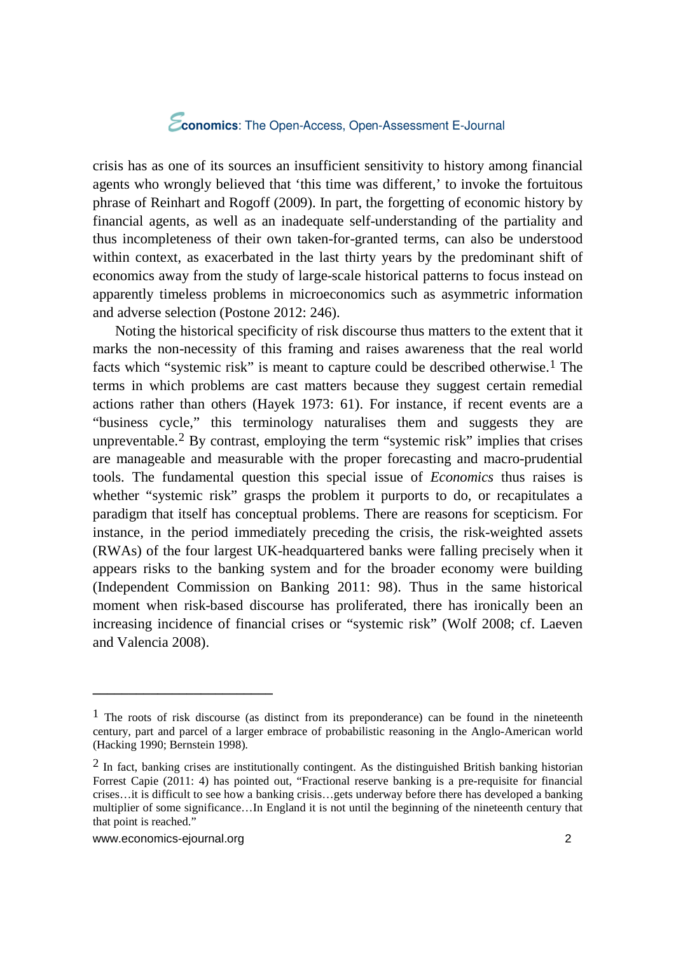crisis has as one of its sources an insufficient sensitivity to history among financial agents who wrongly believed that 'this time was different,' to invoke the fortuitous phrase of Reinhart and Rogoff (2009). In part, the forgetting of economic history by financial agents, as well as an inadequate self-understanding of the partiality and thus incompleteness of their own taken-for-granted terms, can also be understood within context, as exacerbated in the last thirty years by the predominant shift of economics away from the study of large-scale historical patterns to focus instead on apparently timeless problems in microeconomics such as asymmetric information and adverse selection (Postone 2012: 246).

Noting the historical specificity of risk discourse thus matters to the extent that it marks the non-necessity of this framing and raises awareness that the real world facts which "systemic risk" is meant to capture could be described otherwise.<sup>[1](#page-2-0)</sup> The terms in which problems are cast matters because they suggest certain remedial actions rather than others (Hayek 1973: 61). For instance, if recent events are a "business cycle," this terminology naturalises them and suggests they are unpreventable.[2](#page-2-1) By contrast, employing the term "systemic risk" implies that crises are manageable and measurable with the proper forecasting and macro-prudential tools. The fundamental question this special issue of *Economics* thus raises is whether "systemic risk" grasps the problem it purports to do, or recapitulates a paradigm that itself has conceptual problems. There are reasons for scepticism. For instance, in the period immediately preceding the crisis, the risk-weighted assets (RWAs) of the four largest UK-headquartered banks were falling precisely when it appears risks to the banking system and for the broader economy were building (Independent Commission on Banking 2011: 98). Thus in the same historical moment when risk-based discourse has proliferated, there has ironically been an increasing incidence of financial crises or "systemic risk" (Wolf 2008; cf. Laeven and Valencia 2008).

<span id="page-2-0"></span> $<sup>1</sup>$  The roots of risk discourse (as distinct from its preponderance) can be found in the nineteenth</sup> century, part and parcel of a larger embrace of probabilistic reasoning in the Anglo-American world (Hacking 1990; Bernstein 1998).

<span id="page-2-1"></span><sup>2</sup> In fact, banking crises are institutionally contingent. As the distinguished British banking historian Forrest Capie (2011: 4) has pointed out, "Fractional reserve banking is a pre-requisite for financial crises…it is difficult to see how a banking crisis…gets underway before there has developed a banking multiplier of some significance…In England it is not until the beginning of the nineteenth century that that point is reached."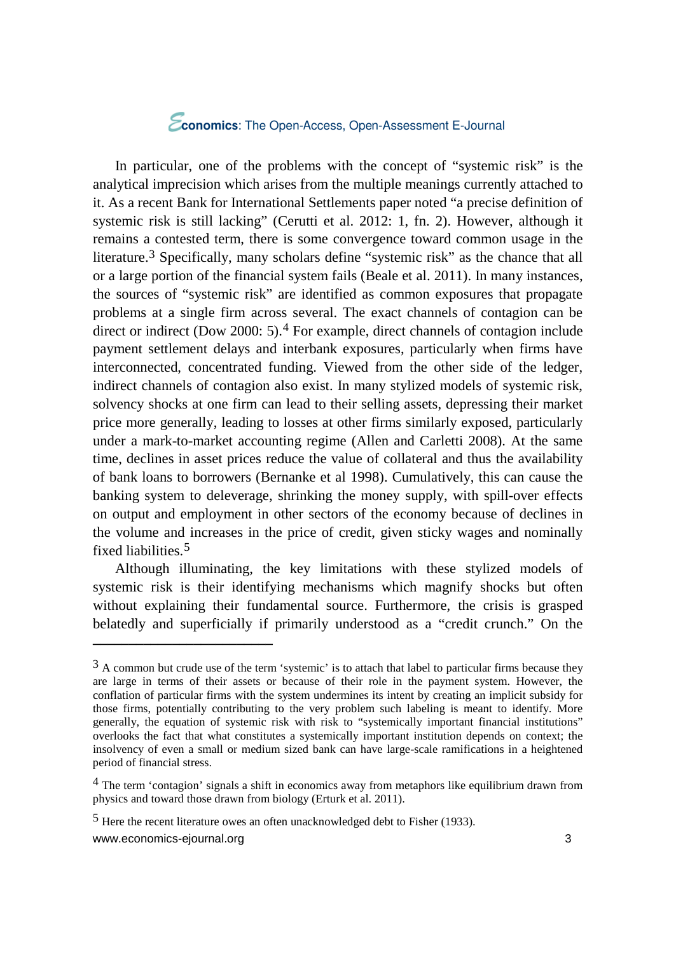In particular, one of the problems with the concept of "systemic risk" is the analytical imprecision which arises from the multiple meanings currently attached to it. As a recent Bank for International Settlements paper noted "a precise definition of systemic risk is still lacking" (Cerutti et al. 2012: 1, fn. 2). However, although it remains a contested term, there is some convergence toward common usage in the literature.<sup>[3](#page-3-0)</sup> Specifically, many scholars define "systemic risk" as the chance that all or a large portion of the financial system fails (Beale et al. 2011). In many instances, the sources of "systemic risk" are identified as common exposures that propagate problems at a single firm across several. The exact channels of contagion can be direct or indirect (Dow 2000: 5).<sup>[4](#page-3-1)</sup> For example, direct channels of contagion include payment settlement delays and interbank exposures, particularly when firms have interconnected, concentrated funding. Viewed from the other side of the ledger, indirect channels of contagion also exist. In many stylized models of systemic risk, solvency shocks at one firm can lead to their selling assets, depressing their market price more generally, leading to losses at other firms similarly exposed, particularly under a mark-to-market accounting regime (Allen and Carletti 2008). At the same time, declines in asset prices reduce the value of collateral and thus the availability of bank loans to borrowers (Bernanke et al 1998). Cumulatively, this can cause the banking system to deleverage, shrinking the money supply, with spill-over effects on output and employment in other sectors of the economy because of declines in the volume and increases in the price of credit, given sticky wages and nominally fixed liabilities.[5](#page-3-2)

Although illuminating, the key limitations with these stylized models of systemic risk is their identifying mechanisms which magnify shocks but often without explaining their fundamental source. Furthermore, the crisis is grasped belatedly and superficially if primarily understood as a "credit crunch." On the

<span id="page-3-0"></span><sup>&</sup>lt;sup>3</sup> A common but crude use of the term 'systemic' is to attach that label to particular firms because they are large in terms of their assets or because of their role in the payment system. However, the conflation of particular firms with the system undermines its intent by creating an implicit subsidy for those firms, potentially contributing to the very problem such labeling is meant to identify. More generally, the equation of systemic risk with risk to "systemically important financial institutions" overlooks the fact that what constitutes a systemically important institution depends on context; the insolvency of even a small or medium sized bank can have large-scale ramifications in a heightened period of financial stress.

<span id="page-3-1"></span><sup>&</sup>lt;sup>4</sup> The term 'contagion' signals a shift in economics away from metaphors like equilibrium drawn from physics and toward those drawn from biology (Erturk et al. 2011).

<span id="page-3-2"></span><sup>5</sup> Here the recent literature owes an often unacknowledged debt to Fisher (1933).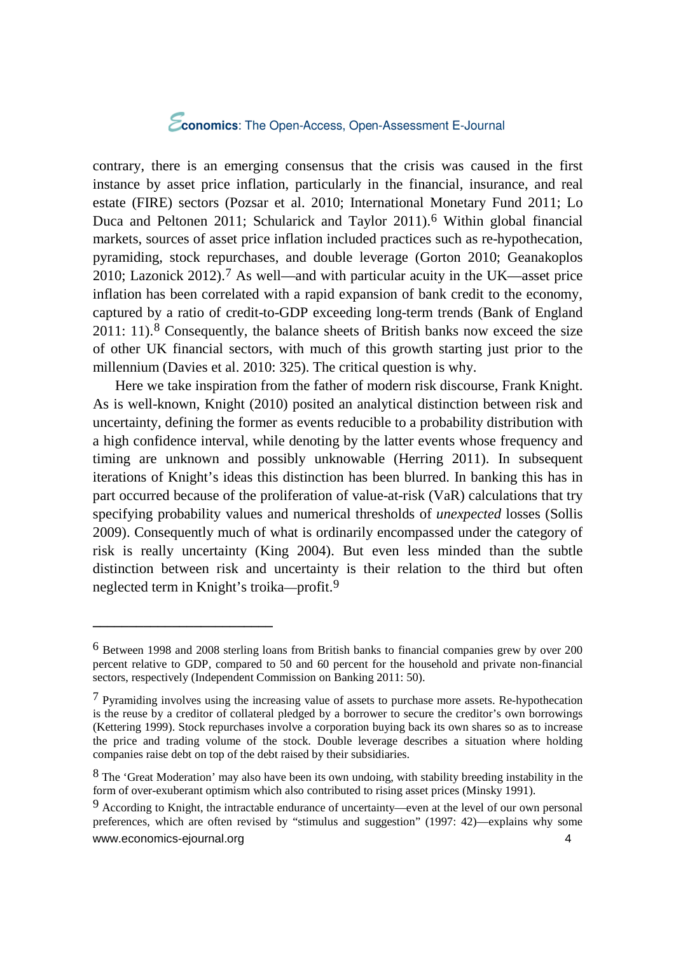contrary, there is an emerging consensus that the crisis was caused in the first instance by asset price inflation, particularly in the financial, insurance, and real estate (FIRE) sectors (Pozsar et al. 2010; International Monetary Fund 2011; Lo Duca and Peltonen 2011; Schularick and Taylor 2011).<sup>[6](#page-4-0)</sup> Within global financial markets, sources of asset price inflation included practices such as re-hypothecation, pyramiding, stock repurchases, and double leverage (Gorton 2010; Geanakoplos 2010; Lazonick 2012).[7](#page-4-1) As well—and with particular acuity in the UK—asset price inflation has been correlated with a rapid expansion of bank credit to the economy, captured by a ratio of credit-to-GDP exceeding long-term trends (Bank of England  $2011: 11$ .<sup>[8](#page-4-2)</sup> Consequently, the balance sheets of British banks now exceed the size of other UK financial sectors, with much of this growth starting just prior to the millennium (Davies et al. 2010: 325). The critical question is why.

Here we take inspiration from the father of modern risk discourse, Frank Knight. As is well-known, Knight (2010) posited an analytical distinction between risk and uncertainty, defining the former as events reducible to a probability distribution with a high confidence interval, while denoting by the latter events whose frequency and timing are unknown and possibly unknowable (Herring 2011). In subsequent iterations of Knight's ideas this distinction has been blurred. In banking this has in part occurred because of the proliferation of value-at-risk (VaR) calculations that try specifying probability values and numerical thresholds of *unexpected* losses (Sollis 2009). Consequently much of what is ordinarily encompassed under the category of risk is really uncertainty (King 2004). But even less minded than the subtle distinction between risk and uncertainty is their relation to the third but often neglected term in Knight's troika—profit.[9](#page-4-3)

<span id="page-4-0"></span><sup>6</sup> Between 1998 and 2008 sterling loans from British banks to financial companies grew by over 200 percent relative to GDP, compared to 50 and 60 percent for the household and private non-financial sectors, respectively (Independent Commission on Banking 2011: 50).

<span id="page-4-1"></span><sup>&</sup>lt;sup>7</sup> Pyramiding involves using the increasing value of assets to purchase more assets. Re-hypothecation is the reuse by a creditor of collateral pledged by a borrower to secure the creditor's own borrowings (Kettering 1999). Stock repurchases involve a corporation buying back its own shares so as to increase the price and trading volume of the stock. Double leverage describes a situation where holding companies raise debt on top of the debt raised by their subsidiaries.

<span id="page-4-2"></span><sup>8</sup> The 'Great Moderation' may also have been its own undoing, with stability breeding instability in the form of over-exuberant optimism which also contributed to rising asset prices (Minsky 1991).

<span id="page-4-3"></span>www.economics-ejournal.org 4 9 According to Knight, the intractable endurance of uncertainty—even at the level of our own personal preferences, which are often revised by "stimulus and suggestion" (1997: 42)—explains why some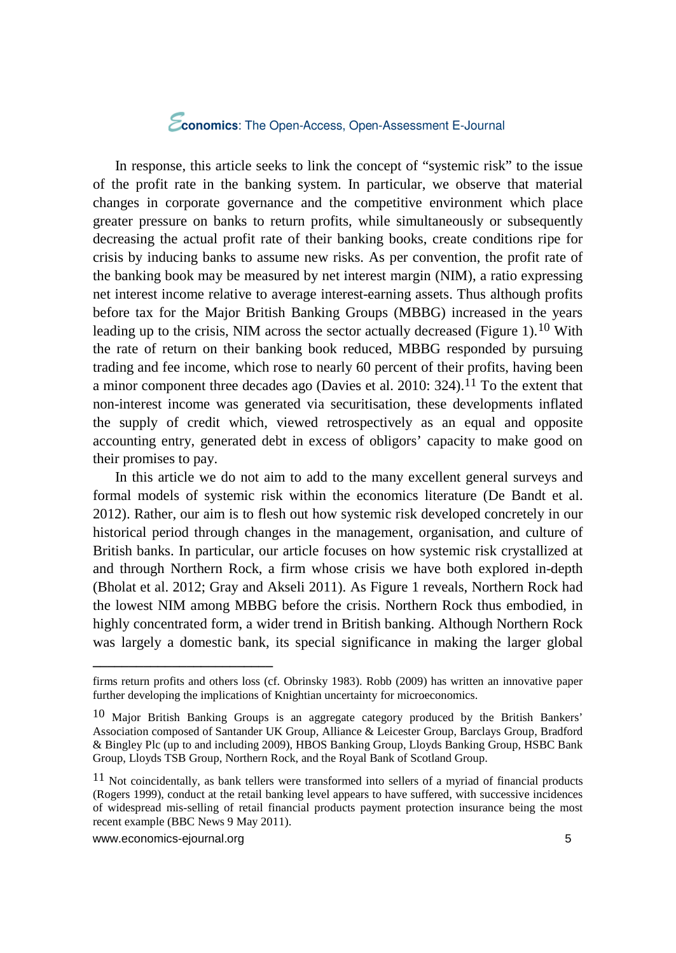In response, this article seeks to link the concept of "systemic risk" to the issue of the profit rate in the banking system. In particular, we observe that material changes in corporate governance and the competitive environment which place greater pressure on banks to return profits, while simultaneously or subsequently decreasing the actual profit rate of their banking books, create conditions ripe for crisis by inducing banks to assume new risks. As per convention, the profit rate of the banking book may be measured by net interest margin (NIM), a ratio expressing net interest income relative to average interest-earning assets. Thus although profits before tax for the Major British Banking Groups (MBBG) increased in the years leading up to the crisis, NIM across the sector actually decreased (Figure 1).<sup>[10](#page-5-0)</sup> With the rate of return on their banking book reduced, MBBG responded by pursuing trading and fee income, which rose to nearly 60 percent of their profits, having been a minor component three decades ago (Davies et al. 2010:  $324$ ).<sup>[11](#page-5-1)</sup> To the extent that non-interest income was generated via securitisation, these developments inflated the supply of credit which, viewed retrospectively as an equal and opposite accounting entry, generated debt in excess of obligors' capacity to make good on their promises to pay.

In this article we do not aim to add to the many excellent general surveys and formal models of systemic risk within the economics literature (De Bandt et al. 2012). Rather, our aim is to flesh out how systemic risk developed concretely in our historical period through changes in the management, organisation, and culture of British banks. In particular, our article focuses on how systemic risk crystallized at and through Northern Rock, a firm whose crisis we have both explored in-depth (Bholat et al. 2012; Gray and Akseli 2011). As Figure 1 reveals, Northern Rock had the lowest NIM among MBBG before the crisis. Northern Rock thus embodied, in highly concentrated form, a wider trend in British banking. Although Northern Rock was largely a domestic bank, its special significance in making the larger global

firms return profits and others loss (cf. Obrinsky 1983). Robb (2009) has written an innovative paper further developing the implications of Knightian uncertainty for microeconomics.

<span id="page-5-0"></span><sup>10</sup> Major British Banking Groups is an aggregate category produced by the British Bankers' Association composed of Santander UK Group, Alliance & Leicester Group, Barclays Group, Bradford & Bingley Plc (up to and including 2009), HBOS Banking Group, Lloyds Banking Group, HSBC Bank Group, Lloyds TSB Group, Northern Rock, and the Royal Bank of Scotland Group.

<span id="page-5-1"></span> $11$  Not coincidentally, as bank tellers were transformed into sellers of a myriad of financial products (Rogers 1999), conduct at the retail banking level appears to have suffered, with successive incidences of widespread mis-selling of retail financial products payment protection insurance being the most recent example (BBC News 9 May 2011).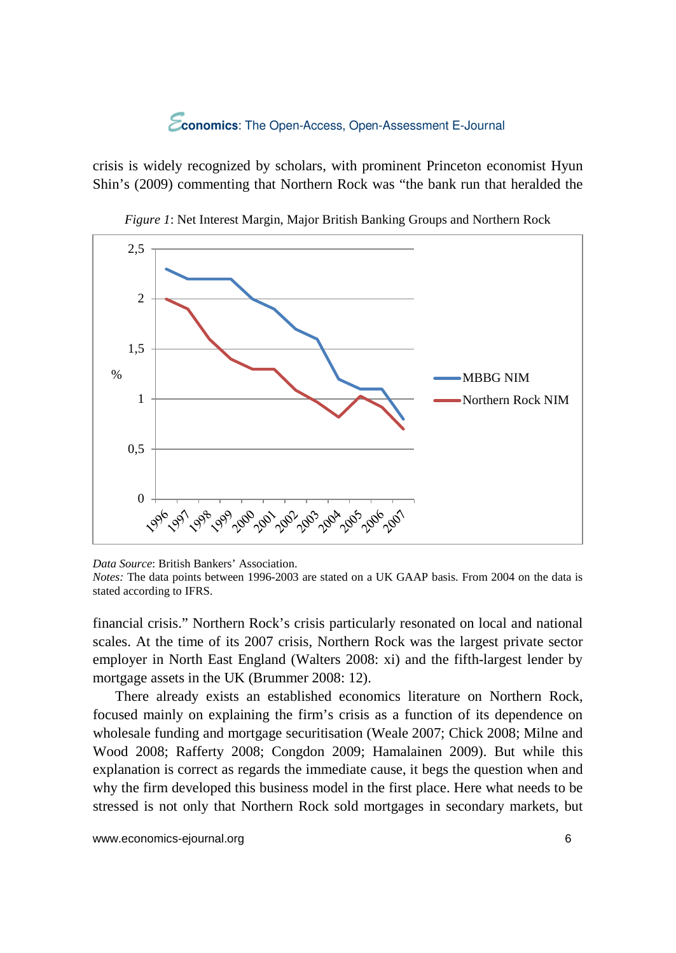crisis is widely recognized by scholars, with prominent Princeton economist Hyun Shin's (2009) commenting that Northern Rock was "the bank run that heralded the



*Figure 1*: Net Interest Margin, Major British Banking Groups and Northern Rock

*Data Source*: British Bankers' Association.

*Notes:* The data points between 1996-2003 are stated on a UK GAAP basis. From 2004 on the data is stated according to IFRS.

financial crisis." Northern Rock's crisis particularly resonated on local and national scales. At the time of its 2007 crisis, Northern Rock was the largest private sector employer in North East England (Walters 2008: xi) and the fifth-largest lender by mortgage assets in the UK (Brummer 2008: 12).

There already exists an established economics literature on Northern Rock, focused mainly on explaining the firm's crisis as a function of its dependence on wholesale funding and mortgage securitisation (Weale 2007; Chick 2008; Milne and Wood 2008; Rafferty 2008; Congdon 2009; Hamalainen 2009). But while this explanation is correct as regards the immediate cause, it begs the question when and why the firm developed this business model in the first place. Here what needs to be stressed is not only that Northern Rock sold mortgages in secondary markets, but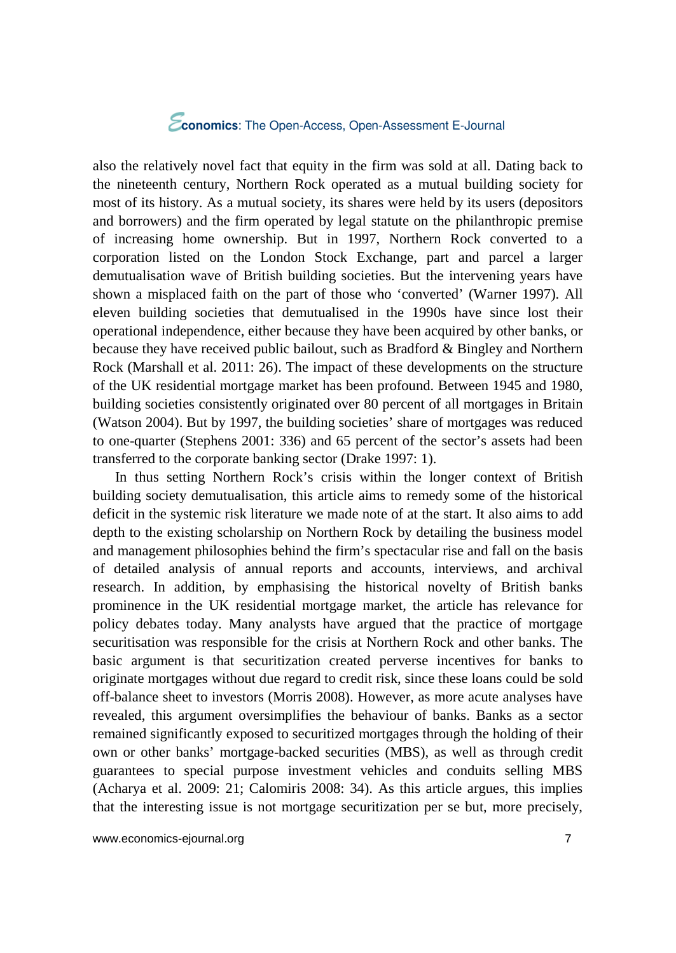also the relatively novel fact that equity in the firm was sold at all. Dating back to the nineteenth century, Northern Rock operated as a mutual building society for most of its history. As a mutual society, its shares were held by its users (depositors and borrowers) and the firm operated by legal statute on the philanthropic premise of increasing home ownership. But in 1997, Northern Rock converted to a corporation listed on the London Stock Exchange, part and parcel a larger demutualisation wave of British building societies. But the intervening years have shown a misplaced faith on the part of those who 'converted' (Warner 1997). All eleven building societies that demutualised in the 1990s have since lost their operational independence, either because they have been acquired by other banks, or because they have received public bailout, such as Bradford & Bingley and Northern Rock (Marshall et al. 2011: 26). The impact of these developments on the structure of the UK residential mortgage market has been profound. Between 1945 and 1980, building societies consistently originated over 80 percent of all mortgages in Britain (Watson 2004). But by 1997, the building societies' share of mortgages was reduced to one-quarter (Stephens 2001: 336) and 65 percent of the sector's assets had been transferred to the corporate banking sector (Drake 1997: 1).

In thus setting Northern Rock's crisis within the longer context of British building society demutualisation, this article aims to remedy some of the historical deficit in the systemic risk literature we made note of at the start. It also aims to add depth to the existing scholarship on Northern Rock by detailing the business model and management philosophies behind the firm's spectacular rise and fall on the basis of detailed analysis of annual reports and accounts, interviews, and archival research. In addition, by emphasising the historical novelty of British banks prominence in the UK residential mortgage market, the article has relevance for policy debates today. Many analysts have argued that the practice of mortgage securitisation was responsible for the crisis at Northern Rock and other banks. The basic argument is that securitization created perverse incentives for banks to originate mortgages without due regard to credit risk, since these loans could be sold off-balance sheet to investors (Morris 2008). However, as more acute analyses have revealed, this argument oversimplifies the behaviour of banks. Banks as a sector remained significantly exposed to securitized mortgages through the holding of their own or other banks' mortgage-backed securities (MBS), as well as through credit guarantees to special purpose investment vehicles and conduits selling MBS (Acharya et al. 2009: 21; Calomiris 2008: 34). As this article argues, this implies that the interesting issue is not mortgage securitization per se but, more precisely,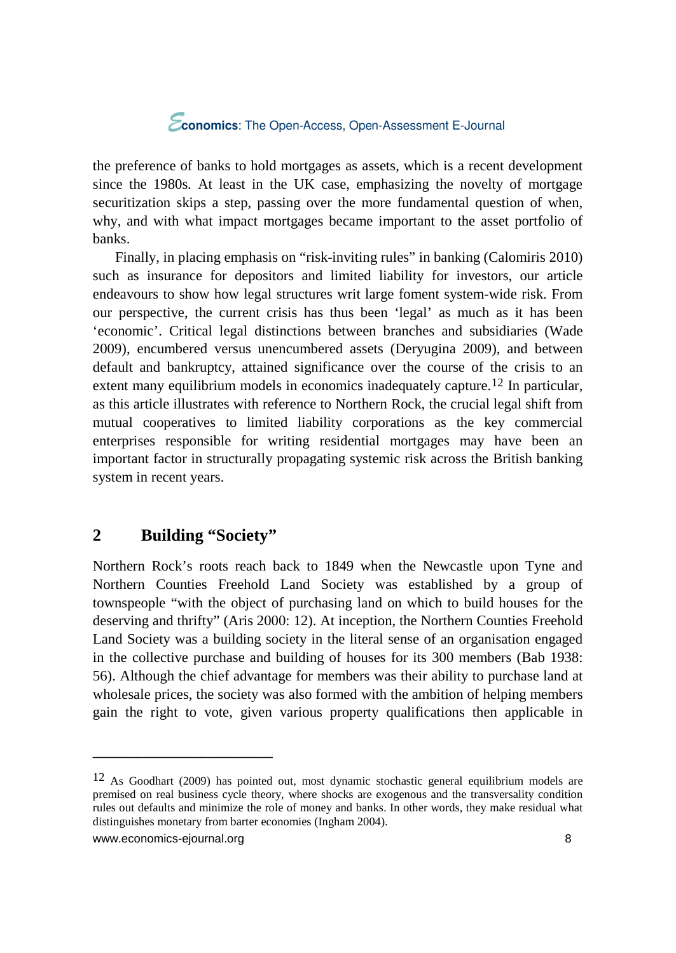the preference of banks to hold mortgages as assets, which is a recent development since the 1980s. At least in the UK case, emphasizing the novelty of mortgage securitization skips a step, passing over the more fundamental question of when, why, and with what impact mortgages became important to the asset portfolio of banks.

Finally, in placing emphasis on "risk-inviting rules" in banking (Calomiris 2010) such as insurance for depositors and limited liability for investors, our article endeavours to show how legal structures writ large foment system-wide risk. From our perspective, the current crisis has thus been 'legal' as much as it has been 'economic'. Critical legal distinctions between branches and subsidiaries (Wade 2009), encumbered versus unencumbered assets (Deryugina 2009), and between default and bankruptcy, attained significance over the course of the crisis to an extent many equilibrium models in economics inadequately capture.<sup>[12](#page-8-0)</sup> In particular, as this article illustrates with reference to Northern Rock, the crucial legal shift from mutual cooperatives to limited liability corporations as the key commercial enterprises responsible for writing residential mortgages may have been an important factor in structurally propagating systemic risk across the British banking system in recent years.

#### **2 Building "Society"**

Northern Rock's roots reach back to 1849 when the Newcastle upon Tyne and Northern Counties Freehold Land Society was established by a group of townspeople "with the object of purchasing land on which to build houses for the deserving and thrifty" (Aris 2000: 12). At inception, the Northern Counties Freehold Land Society was a building society in the literal sense of an organisation engaged in the collective purchase and building of houses for its 300 members (Bab 1938: 56). Although the chief advantage for members was their ability to purchase land at wholesale prices, the society was also formed with the ambition of helping members gain the right to vote, given various property qualifications then applicable in

<span id="page-8-0"></span> $12$  As Goodhart (2009) has pointed out, most dynamic stochastic general equilibrium models are premised on real business cycle theory, where shocks are exogenous and the transversality condition rules out defaults and minimize the role of money and banks. In other words, they make residual what distinguishes monetary from barter economies (Ingham 2004).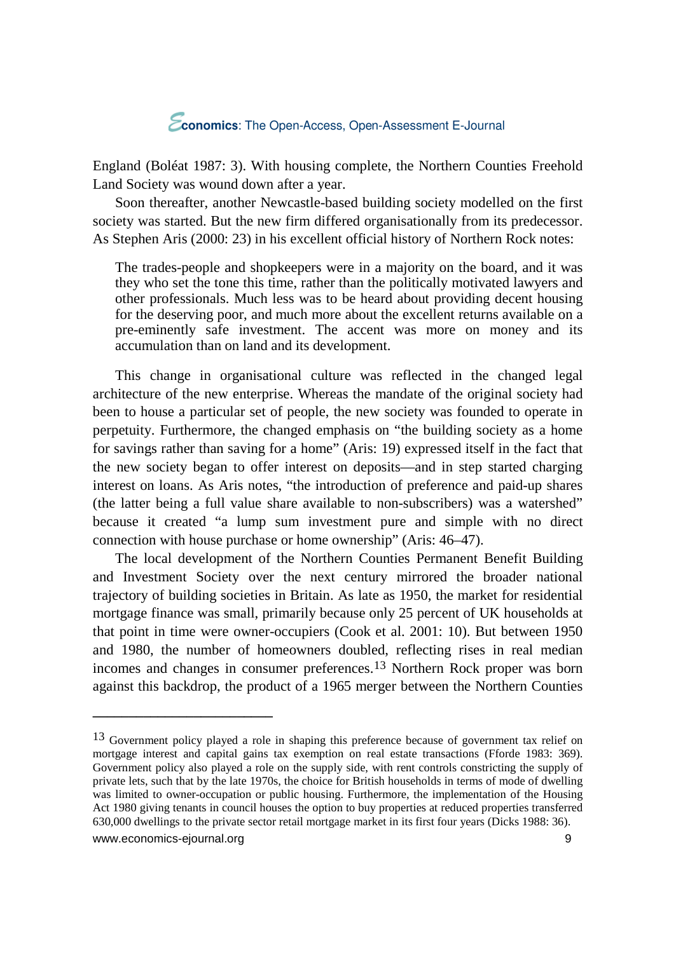England (Boléat 1987: 3). With housing complete, the Northern Counties Freehold Land Society was wound down after a year.

Soon thereafter, another Newcastle-based building society modelled on the first society was started. But the new firm differed organisationally from its predecessor. As Stephen Aris (2000: 23) in his excellent official history of Northern Rock notes:

The trades-people and shopkeepers were in a majority on the board, and it was they who set the tone this time, rather than the politically motivated lawyers and other professionals. Much less was to be heard about providing decent housing for the deserving poor, and much more about the excellent returns available on a pre-eminently safe investment. The accent was more on money and its accumulation than on land and its development.

This change in organisational culture was reflected in the changed legal architecture of the new enterprise. Whereas the mandate of the original society had been to house a particular set of people, the new society was founded to operate in perpetuity. Furthermore, the changed emphasis on "the building society as a home for savings rather than saving for a home" (Aris: 19) expressed itself in the fact that the new society began to offer interest on deposits—and in step started charging interest on loans. As Aris notes, "the introduction of preference and paid-up shares (the latter being a full value share available to non-subscribers) was a watershed" because it created "a lump sum investment pure and simple with no direct connection with house purchase or home ownership" (Aris: 46–47).

The local development of the Northern Counties Permanent Benefit Building and Investment Society over the next century mirrored the broader national trajectory of building societies in Britain. As late as 1950, the market for residential mortgage finance was small, primarily because only 25 percent of UK households at that point in time were owner-occupiers (Cook et al. 2001: 10). But between 1950 and 1980, the number of homeowners doubled, reflecting rises in real median incomes and changes in consumer preferences.[13](#page-9-0) Northern Rock proper was born against this backdrop, the product of a 1965 merger between the Northern Counties

<span id="page-9-0"></span>www.economics-ejournal.org 9 13 Government policy played a role in shaping this preference because of government tax relief on mortgage interest and capital gains tax exemption on real estate transactions (Fforde 1983: 369). Government policy also played a role on the supply side, with rent controls constricting the supply of private lets, such that by the late 1970s, the choice for British households in terms of mode of dwelling was limited to owner-occupation or public housing. Furthermore, the implementation of the Housing Act 1980 giving tenants in council houses the option to buy properties at reduced properties transferred 630,000 dwellings to the private sector retail mortgage market in its first four years (Dicks 1988: 36).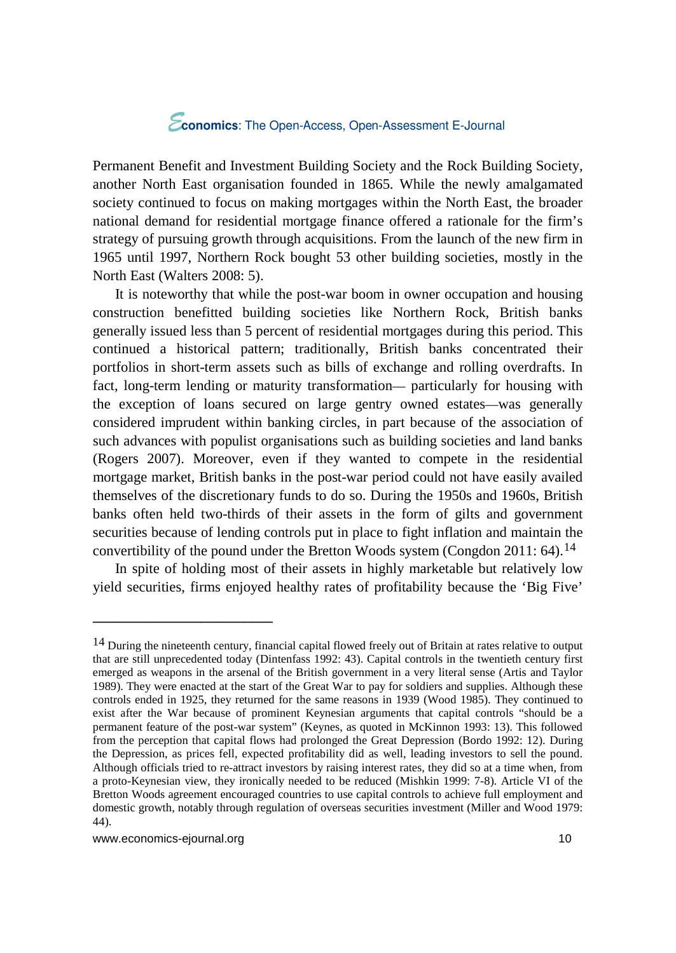Permanent Benefit and Investment Building Society and the Rock Building Society, another North East organisation founded in 1865. While the newly amalgamated society continued to focus on making mortgages within the North East, the broader national demand for residential mortgage finance offered a rationale for the firm's strategy of pursuing growth through acquisitions. From the launch of the new firm in 1965 until 1997, Northern Rock bought 53 other building societies, mostly in the North East (Walters 2008: 5).

It is noteworthy that while the post-war boom in owner occupation and housing construction benefitted building societies like Northern Rock, British banks generally issued less than 5 percent of residential mortgages during this period. This continued a historical pattern; traditionally, British banks concentrated their portfolios in short-term assets such as bills of exchange and rolling overdrafts. In fact, long-term lending or maturity transformation— particularly for housing with the exception of loans secured on large gentry owned estates—was generally considered imprudent within banking circles, in part because of the association of such advances with populist organisations such as building societies and land banks (Rogers 2007). Moreover, even if they wanted to compete in the residential mortgage market, British banks in the post-war period could not have easily availed themselves of the discretionary funds to do so. During the 1950s and 1960s, British banks often held two-thirds of their assets in the form of gilts and government securities because of lending controls put in place to fight inflation and maintain the convertibility of the pound under the Bretton Woods system (Congdon 2011: 64).<sup>[14](#page-10-0)</sup>

In spite of holding most of their assets in highly marketable but relatively low yield securities, firms enjoyed healthy rates of profitability because the 'Big Five'

<span id="page-10-0"></span><sup>&</sup>lt;sup>14</sup> During the nineteenth century, financial capital flowed freely out of Britain at rates relative to output that are still unprecedented today (Dintenfass 1992: 43). Capital controls in the twentieth century first emerged as weapons in the arsenal of the British government in a very literal sense (Artis and Taylor 1989). They were enacted at the start of the Great War to pay for soldiers and supplies. Although these controls ended in 1925, they returned for the same reasons in 1939 (Wood 1985). They continued to exist after the War because of prominent Keynesian arguments that capital controls "should be a permanent feature of the post-war system" (Keynes, as quoted in McKinnon 1993: 13). This followed from the perception that capital flows had prolonged the Great Depression (Bordo 1992: 12). During the Depression, as prices fell, expected profitability did as well, leading investors to sell the pound. Although officials tried to re-attract investors by raising interest rates, they did so at a time when, from a proto-Keynesian view, they ironically needed to be reduced (Mishkin 1999: 7-8). Article VI of the Bretton Woods agreement encouraged countries to use capital controls to achieve full employment and domestic growth, notably through regulation of overseas securities investment (Miller and Wood 1979: 44).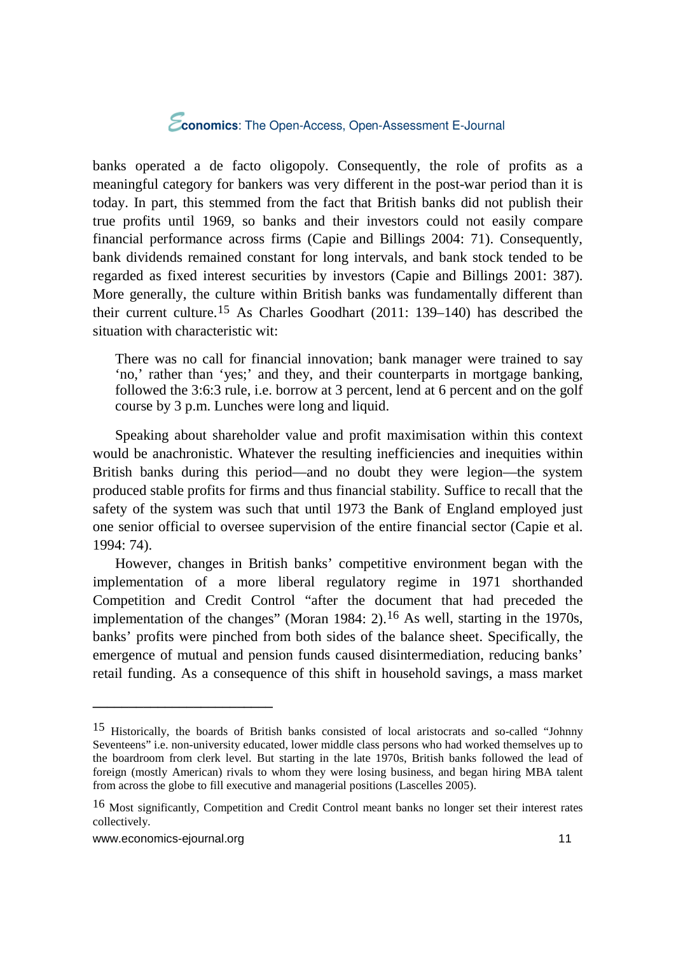banks operated a de facto oligopoly. Consequently, the role of profits as a meaningful category for bankers was very different in the post-war period than it is today. In part, this stemmed from the fact that British banks did not publish their true profits until 1969, so banks and their investors could not easily compare financial performance across firms (Capie and Billings 2004: 71). Consequently, bank dividends remained constant for long intervals, and bank stock tended to be regarded as fixed interest securities by investors (Capie and Billings 2001: 387). More generally, the culture within British banks was fundamentally different than their current culture.[15](#page-11-0) As Charles Goodhart (2011: 139–140) has described the situation with characteristic wit:

There was no call for financial innovation; bank manager were trained to say 'no,' rather than 'yes;' and they, and their counterparts in mortgage banking, followed the 3:6:3 rule, i.e. borrow at 3 percent, lend at 6 percent and on the golf course by 3 p.m. Lunches were long and liquid.

Speaking about shareholder value and profit maximisation within this context would be anachronistic. Whatever the resulting inefficiencies and inequities within British banks during this period—and no doubt they were legion—the system produced stable profits for firms and thus financial stability. Suffice to recall that the safety of the system was such that until 1973 the Bank of England employed just one senior official to oversee supervision of the entire financial sector (Capie et al. 1994: 74).

However, changes in British banks' competitive environment began with the implementation of a more liberal regulatory regime in 1971 shorthanded Competition and Credit Control "after the document that had preceded the implementation of the changes" (Moran 1984:  $2$ ).<sup>[16](#page-11-1)</sup> As well, starting in the 1970s, banks' profits were pinched from both sides of the balance sheet. Specifically, the emergence of mutual and pension funds caused disintermediation, reducing banks' retail funding. As a consequence of this shift in household savings, a mass market

<span id="page-11-0"></span><sup>15</sup> Historically, the boards of British banks consisted of local aristocrats and so-called "Johnny Seventeens" i.e. non-university educated, lower middle class persons who had worked themselves up to the boardroom from clerk level. But starting in the late 1970s, British banks followed the lead of foreign (mostly American) rivals to whom they were losing business, and began hiring MBA talent from across the globe to fill executive and managerial positions (Lascelles 2005).

<span id="page-11-1"></span><sup>16</sup> Most significantly, Competition and Credit Control meant banks no longer set their interest rates collectively.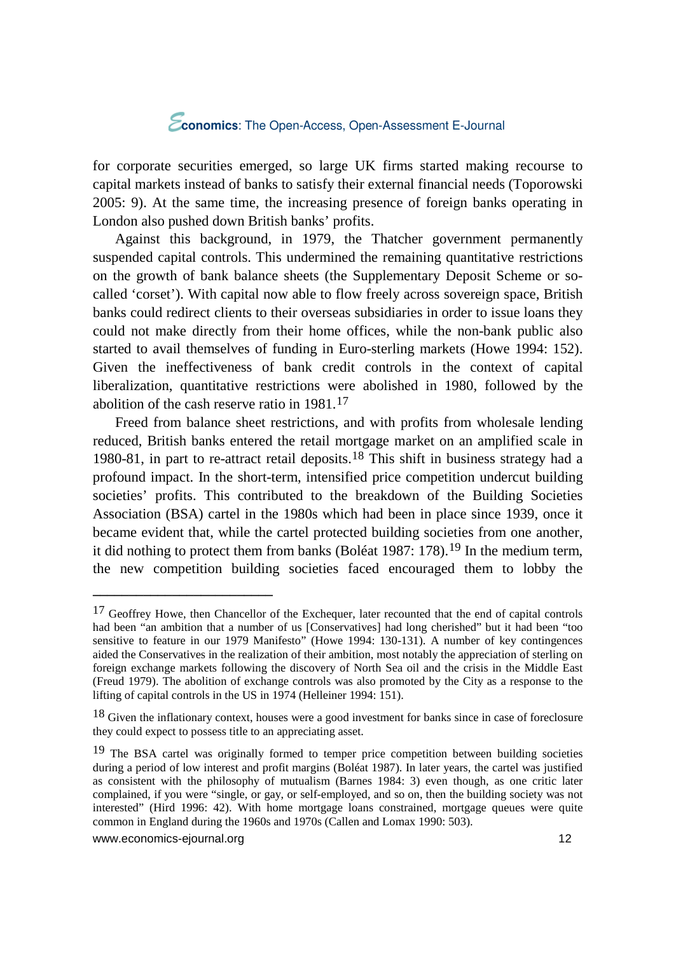for corporate securities emerged, so large UK firms started making recourse to capital markets instead of banks to satisfy their external financial needs (Toporowski 2005: 9). At the same time, the increasing presence of foreign banks operating in London also pushed down British banks' profits.

Against this background, in 1979, the Thatcher government permanently suspended capital controls. This undermined the remaining quantitative restrictions on the growth of bank balance sheets (the Supplementary Deposit Scheme or socalled 'corset'). With capital now able to flow freely across sovereign space, British banks could redirect clients to their overseas subsidiaries in order to issue loans they could not make directly from their home offices, while the non-bank public also started to avail themselves of funding in Euro-sterling markets (Howe 1994: 152). Given the ineffectiveness of bank credit controls in the context of capital liberalization, quantitative restrictions were abolished in 1980, followed by the abolition of the cash reserve ratio in 1981.[17](#page-12-0)

Freed from balance sheet restrictions, and with profits from wholesale lending reduced, British banks entered the retail mortgage market on an amplified scale in 1980-81, in part to re-attract retail deposits.<sup>[18](#page-12-1)</sup> This shift in business strategy had a profound impact. In the short-term, intensified price competition undercut building societies' profits. This contributed to the breakdown of the Building Societies Association (BSA) cartel in the 1980s which had been in place since 1939, once it became evident that, while the cartel protected building societies from one another, it did nothing to protect them from banks (Boléat [19](#page-12-2)87: 178).<sup>19</sup> In the medium term, the new competition building societies faced encouraged them to lobby the

<span id="page-12-0"></span><sup>&</sup>lt;sup>17</sup> Geoffrey Howe, then Chancellor of the Exchequer, later recounted that the end of capital controls had been "an ambition that a number of us [Conservatives] had long cherished" but it had been "too sensitive to feature in our 1979 Manifesto" (Howe 1994: 130-131). A number of key contingences aided the Conservatives in the realization of their ambition, most notably the appreciation of sterling on foreign exchange markets following the discovery of North Sea oil and the crisis in the Middle East (Freud 1979). The abolition of exchange controls was also promoted by the City as a response to the lifting of capital controls in the US in 1974 (Helleiner 1994: 151).

<span id="page-12-1"></span><sup>&</sup>lt;sup>18</sup> Given the inflationary context, houses were a good investment for banks since in case of foreclosure they could expect to possess title to an appreciating asset.

<span id="page-12-2"></span><sup>&</sup>lt;sup>19</sup> The BSA cartel was originally formed to temper price competition between building societies during a period of low interest and profit margins (Boléat 1987). In later years, the cartel was justified as consistent with the philosophy of mutualism (Barnes 1984: 3) even though, as one critic later complained, if you were "single, or gay, or self-employed, and so on, then the building society was not interested" (Hird 1996: 42). With home mortgage loans constrained, mortgage queues were quite common in England during the 1960s and 1970s (Callen and Lomax 1990: 503).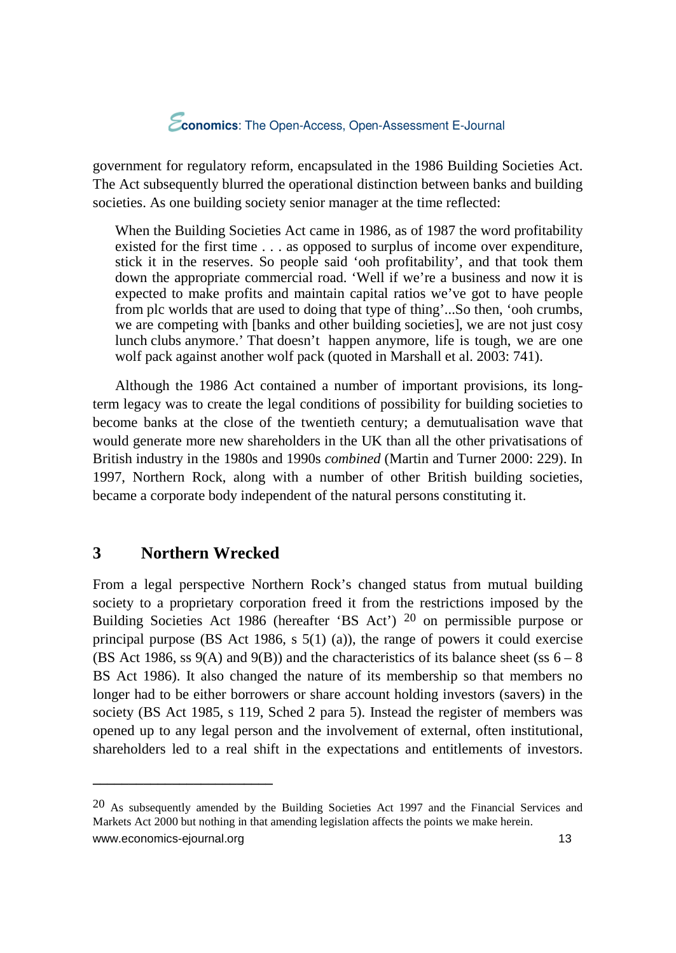government for regulatory reform, encapsulated in the 1986 Building Societies Act. The Act subsequently blurred the operational distinction between banks and building societies. As one building society senior manager at the time reflected:

When the Building Societies Act came in 1986, as of 1987 the word profitability existed for the first time . . . as opposed to surplus of income over expenditure, stick it in the reserves. So people said 'ooh profitability', and that took them down the appropriate commercial road. 'Well if we're a business and now it is expected to make profits and maintain capital ratios we've got to have people from plc worlds that are used to doing that type of thing'...So then, 'ooh crumbs, we are competing with [banks and other building societies], we are not just cosy lunch clubs anymore.' That doesn't happen anymore, life is tough, we are one wolf pack against another wolf pack (quoted in Marshall et al. 2003: 741).

Although the 1986 Act contained a number of important provisions, its longterm legacy was to create the legal conditions of possibility for building societies to become banks at the close of the twentieth century; a demutualisation wave that would generate more new shareholders in the UK than all the other privatisations of British industry in the 1980s and 1990s *combined* (Martin and Turner 2000: 229). In 1997, Northern Rock, along with a number of other British building societies, became a corporate body independent of the natural persons constituting it.

#### **3 Northern Wrecked**

**\_\_\_\_\_\_\_\_\_\_\_\_\_\_\_\_\_\_\_\_\_\_\_\_\_**

From a legal perspective Northern Rock's changed status from mutual building society to a proprietary corporation freed it from the restrictions imposed by the Building Societies Act 1986 (hereafter 'BS Act') [20](#page-13-0) on permissible purpose or principal purpose (BS Act 1986, s 5(1) (a)), the range of powers it could exercise (BS Act 1986, ss  $9(A)$  and  $9(B)$ ) and the characteristics of its balance sheet (ss  $6-8$ ) BS Act 1986). It also changed the nature of its membership so that members no longer had to be either borrowers or share account holding investors (savers) in the society (BS Act 1985, s 119, Sched 2 para 5). Instead the register of members was opened up to any legal person and the involvement of external, often institutional, shareholders led to a real shift in the expectations and entitlements of investors.

<span id="page-13-0"></span>www.economics-ejournal.org 13 <sup>20</sup> As subsequently amended by the Building Societies Act 1997 and the Financial Services and Markets Act 2000 but nothing in that amending legislation affects the points we make herein.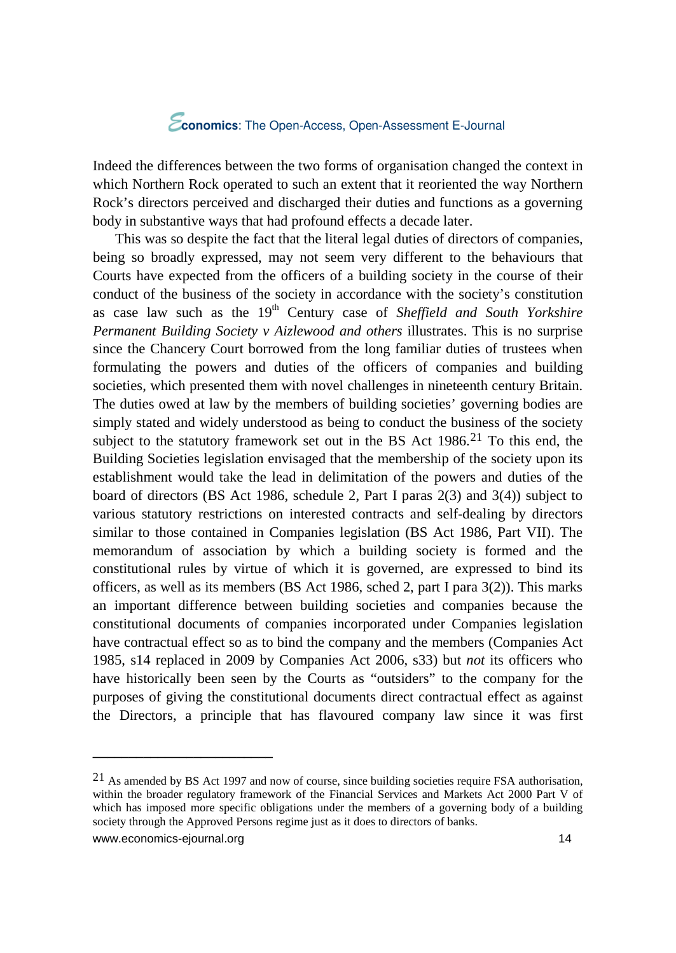Indeed the differences between the two forms of organisation changed the context in which Northern Rock operated to such an extent that it reoriented the way Northern Rock's directors perceived and discharged their duties and functions as a governing body in substantive ways that had profound effects a decade later.

This was so despite the fact that the literal legal duties of directors of companies, being so broadly expressed, may not seem very different to the behaviours that Courts have expected from the officers of a building society in the course of their conduct of the business of the society in accordance with the society's constitution as case law such as the 19th Century case of *Sheffield and South Yorkshire Permanent Building Society v Aizlewood and others* illustrates. This is no surprise since the Chancery Court borrowed from the long familiar duties of trustees when formulating the powers and duties of the officers of companies and building societies, which presented them with novel challenges in nineteenth century Britain. The duties owed at law by the members of building societies' governing bodies are simply stated and widely understood as being to conduct the business of the society subject to the statutory framework set out in the BS Act 1986.<sup>[21](#page-14-0)</sup> To this end, the Building Societies legislation envisaged that the membership of the society upon its establishment would take the lead in delimitation of the powers and duties of the board of directors (BS Act 1986, schedule 2, Part I paras 2(3) and 3(4)) subject to various statutory restrictions on interested contracts and self-dealing by directors similar to those contained in Companies legislation (BS Act 1986, Part VII). The memorandum of association by which a building society is formed and the constitutional rules by virtue of which it is governed, are expressed to bind its officers, as well as its members (BS Act 1986, sched 2, part I para 3(2)). This marks an important difference between building societies and companies because the constitutional documents of companies incorporated under Companies legislation have contractual effect so as to bind the company and the members (Companies Act 1985, s14 replaced in 2009 by Companies Act 2006, s33) but *not* its officers who have historically been seen by the Courts as "outsiders" to the company for the purposes of giving the constitutional documents direct contractual effect as against the Directors, a principle that has flavoured company law since it was first

<span id="page-14-0"></span> $21$  As amended by BS Act 1997 and now of course, since building societies require FSA authorisation, within the broader regulatory framework of the Financial Services and Markets Act 2000 Part V of which has imposed more specific obligations under the members of a governing body of a building society through the Approved Persons regime just as it does to directors of banks.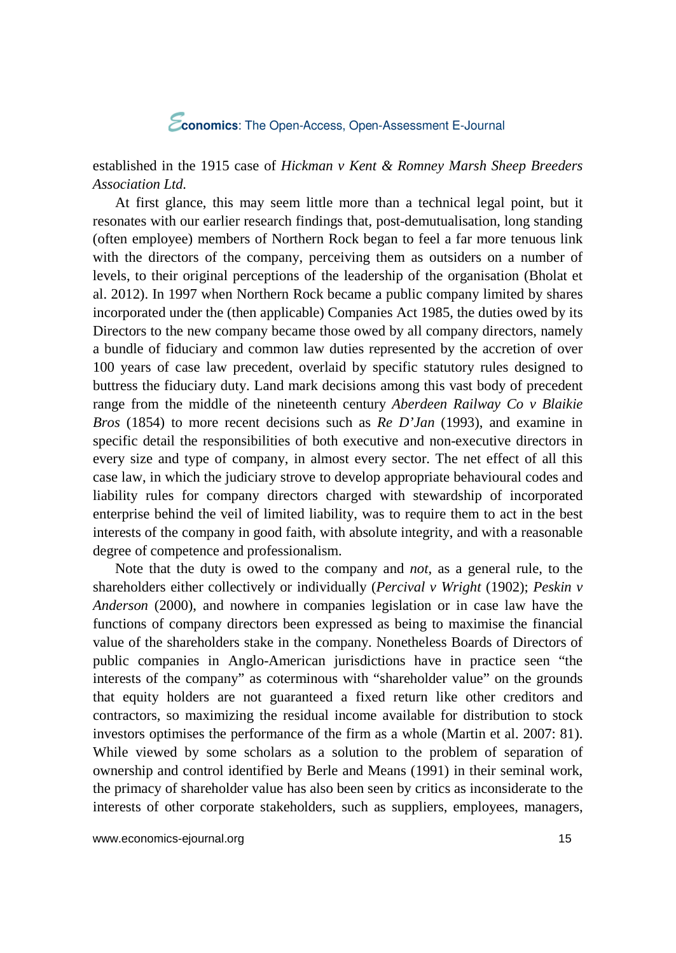established in the 1915 case of *Hickman v Kent & Romney Marsh Sheep Breeders Association Ltd.*

At first glance, this may seem little more than a technical legal point, but it resonates with our earlier research findings that, post-demutualisation, long standing (often employee) members of Northern Rock began to feel a far more tenuous link with the directors of the company, perceiving them as outsiders on a number of levels, to their original perceptions of the leadership of the organisation (Bholat et al. 2012). In 1997 when Northern Rock became a public company limited by shares incorporated under the (then applicable) Companies Act 1985, the duties owed by its Directors to the new company became those owed by all company directors, namely a bundle of fiduciary and common law duties represented by the accretion of over 100 years of case law precedent, overlaid by specific statutory rules designed to buttress the fiduciary duty. Land mark decisions among this vast body of precedent range from the middle of the nineteenth century *Aberdeen Railway Co v Blaikie Bros* (1854) to more recent decisions such as *Re D'Jan* (1993), and examine in specific detail the responsibilities of both executive and non-executive directors in every size and type of company, in almost every sector. The net effect of all this case law, in which the judiciary strove to develop appropriate behavioural codes and liability rules for company directors charged with stewardship of incorporated enterprise behind the veil of limited liability, was to require them to act in the best interests of the company in good faith, with absolute integrity, and with a reasonable degree of competence and professionalism.

Note that the duty is owed to the company and *not*, as a general rule, to the shareholders either collectively or individually (*Percival v Wright* (1902); *Peskin v Anderson* (2000), and nowhere in companies legislation or in case law have the functions of company directors been expressed as being to maximise the financial value of the shareholders stake in the company. Nonetheless Boards of Directors of public companies in Anglo-American jurisdictions have in practice seen "the interests of the company" as coterminous with "shareholder value" on the grounds that equity holders are not guaranteed a fixed return like other creditors and contractors, so maximizing the residual income available for distribution to stock investors optimises the performance of the firm as a whole (Martin et al. 2007: 81). While viewed by some scholars as a solution to the problem of separation of ownership and control identified by Berle and Means (1991) in their seminal work, the primacy of shareholder value has also been seen by critics as inconsiderate to the interests of other corporate stakeholders, such as suppliers, employees, managers,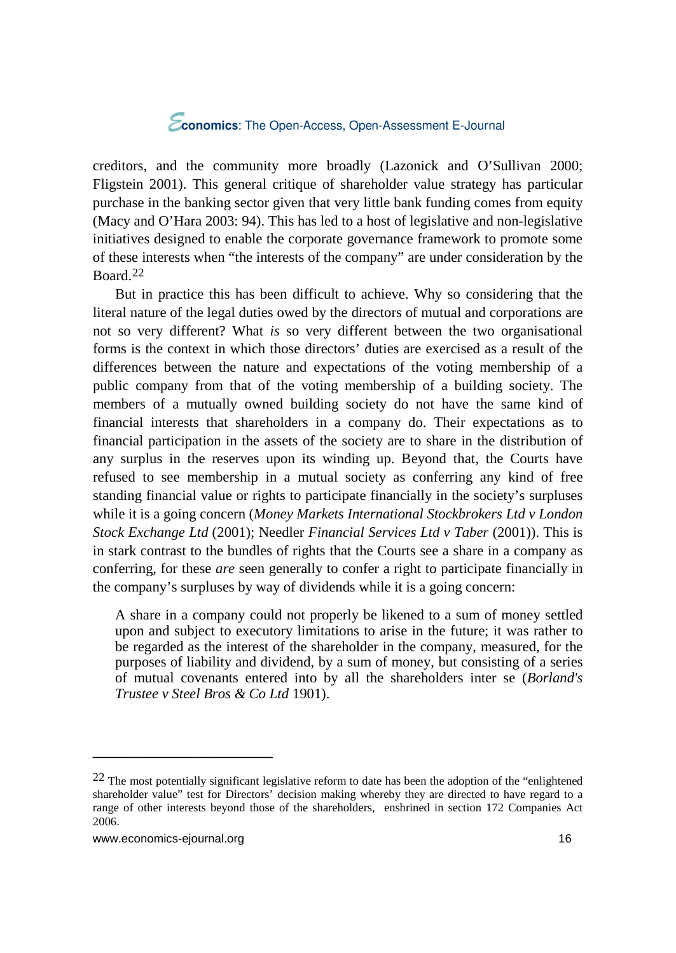creditors, and the community more broadly (Lazonick and O'Sullivan 2000; Fligstein 2001). This general critique of shareholder value strategy has particular purchase in the banking sector given that very little bank funding comes from equity (Macy and O'Hara 2003: 94). This has led to a host of legislative and non-legislative initiatives designed to enable the corporate governance framework to promote some of these interests when "the interests of the company" are under consideration by the Board.[22](#page-16-0)

But in practice this has been difficult to achieve. Why so considering that the literal nature of the legal duties owed by the directors of mutual and corporations are not so very different? What *is* so very different between the two organisational forms is the context in which those directors' duties are exercised as a result of the differences between the nature and expectations of the voting membership of a public company from that of the voting membership of a building society. The members of a mutually owned building society do not have the same kind of financial interests that shareholders in a company do. Their expectations as to financial participation in the assets of the society are to share in the distribution of any surplus in the reserves upon its winding up. Beyond that, the Courts have refused to see membership in a mutual society as conferring any kind of free standing financial value or rights to participate financially in the society's surpluses while it is a going concern (*Money Markets International Stockbrokers Ltd v London Stock Exchange Ltd* (2001); Needler *Financial Services Ltd v Taber* (2001)). This is in stark contrast to the bundles of rights that the Courts see a share in a company as conferring, for these *are* seen generally to confer a right to participate financially in the company's surpluses by way of dividends while it is a going concern:

A share in a company could not properly be likened to a sum of money settled upon and subject to executory limitations to arise in the future; it was rather to be regarded as the interest of the shareholder in the company, measured, for the purposes of liability and dividend, by a sum of money, but consisting of a series of mutual covenants entered into by all the shareholders inter se (*Borland's Trustee v Steel Bros & Co Ltd* 1901).

<span id="page-16-0"></span> $22$  The most potentially significant legislative reform to date has been the adoption of the "enlightened" shareholder value" test for Directors' decision making whereby they are directed to have regard to a range of other interests beyond those of the shareholders, enshrined in section 172 Companies Act 2006.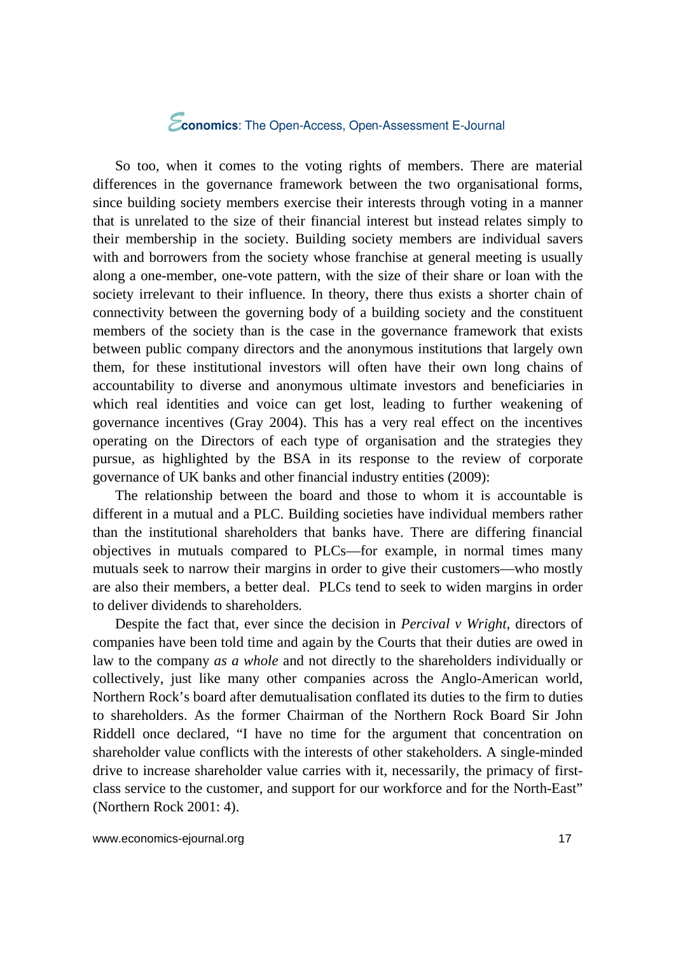So too, when it comes to the voting rights of members. There are material differences in the governance framework between the two organisational forms, since building society members exercise their interests through voting in a manner that is unrelated to the size of their financial interest but instead relates simply to their membership in the society. Building society members are individual savers with and borrowers from the society whose franchise at general meeting is usually along a one-member, one-vote pattern, with the size of their share or loan with the society irrelevant to their influence. In theory, there thus exists a shorter chain of connectivity between the governing body of a building society and the constituent members of the society than is the case in the governance framework that exists between public company directors and the anonymous institutions that largely own them, for these institutional investors will often have their own long chains of accountability to diverse and anonymous ultimate investors and beneficiaries in which real identities and voice can get lost, leading to further weakening of governance incentives (Gray 2004). This has a very real effect on the incentives operating on the Directors of each type of organisation and the strategies they pursue, as highlighted by the BSA in its response to the review of corporate governance of UK banks and other financial industry entities (2009):

The relationship between the board and those to whom it is accountable is different in a mutual and a PLC. Building societies have individual members rather than the institutional shareholders that banks have. There are differing financial objectives in mutuals compared to PLCs—for example, in normal times many mutuals seek to narrow their margins in order to give their customers—who mostly are also their members, a better deal. PLCs tend to seek to widen margins in order to deliver dividends to shareholders.

Despite the fact that, ever since the decision in *Percival v Wright*, directors of companies have been told time and again by the Courts that their duties are owed in law to the company *as a whole* and not directly to the shareholders individually or collectively, just like many other companies across the Anglo-American world, Northern Rock's board after demutualisation conflated its duties to the firm to duties to shareholders. As the former Chairman of the Northern Rock Board Sir John Riddell once declared, "I have no time for the argument that concentration on shareholder value conflicts with the interests of other stakeholders. A single-minded drive to increase shareholder value carries with it, necessarily, the primacy of firstclass service to the customer, and support for our workforce and for the North-East" (Northern Rock 2001: 4).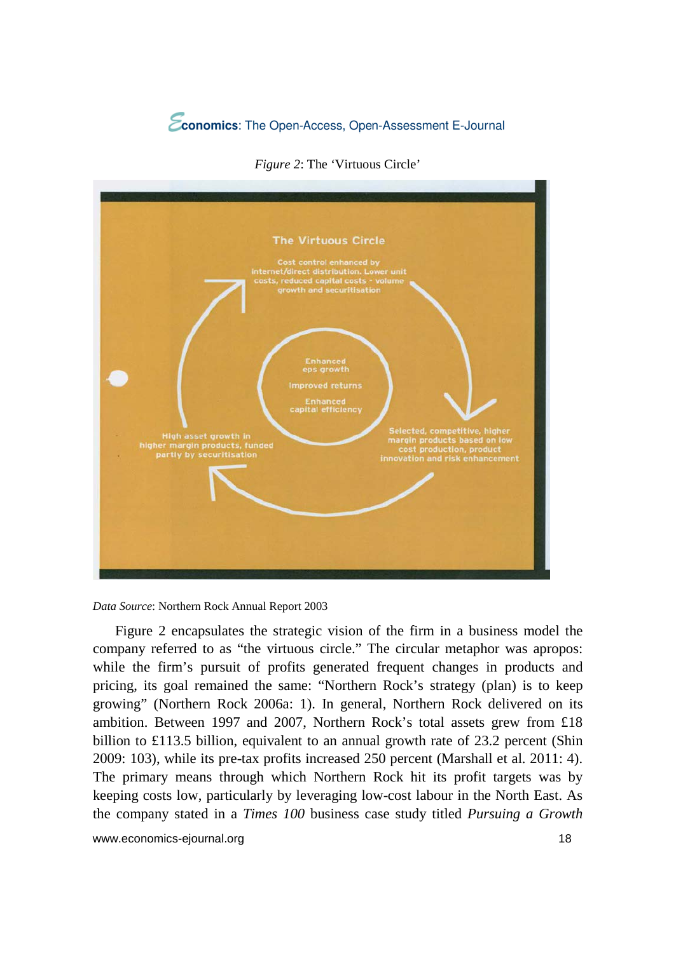#### *Figure 2*: The 'Virtuous Circle'



*Data Source*: Northern Rock Annual Report 2003

Figure 2 encapsulates the strategic vision of the firm in a business model the company referred to as "the virtuous circle." The circular metaphor was apropos: while the firm's pursuit of profits generated frequent changes in products and pricing, its goal remained the same: "Northern Rock's strategy (plan) is to keep growing" (Northern Rock 2006a: 1). In general, Northern Rock delivered on its ambition. Between 1997 and 2007, Northern Rock's total assets grew from £18 billion to £113.5 billion, equivalent to an annual growth rate of 23.2 percent (Shin 2009: 103), while its pre-tax profits increased 250 percent (Marshall et al. 2011: 4). The primary means through which Northern Rock hit its profit targets was by keeping costs low, particularly by leveraging low-cost labour in the North East. As the company stated in a *Times 100* business case study titled *Pursuing a Growth* 

www.economics-ejournal.org 18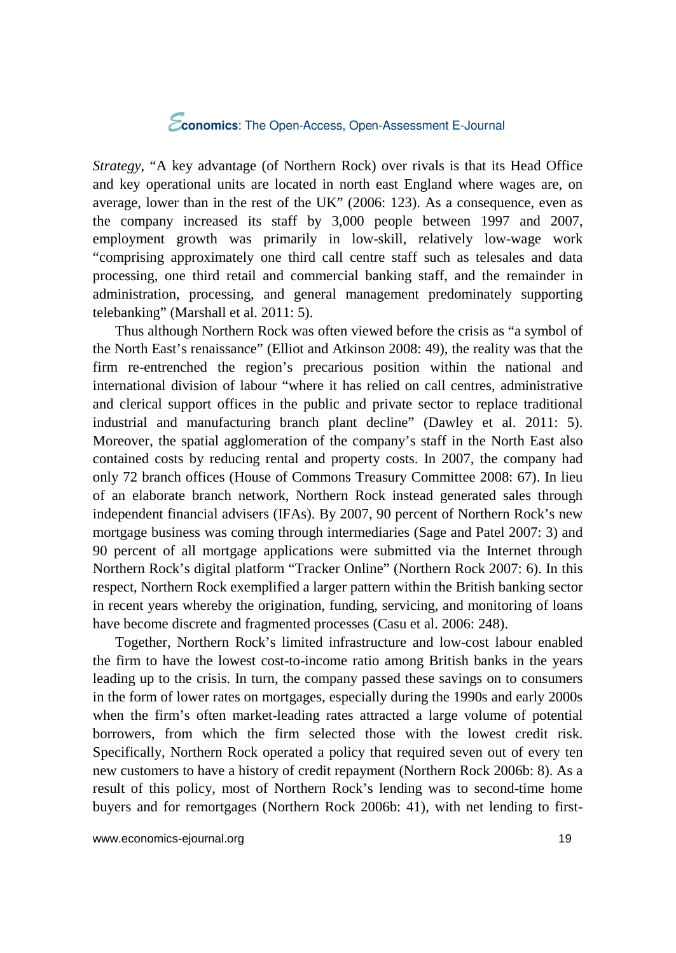*Strategy*, "A key advantage (of Northern Rock) over rivals is that its Head Office and key operational units are located in north east England where wages are, on average, lower than in the rest of the UK" (2006: 123). As a consequence, even as the company increased its staff by 3,000 people between 1997 and 2007, employment growth was primarily in low-skill, relatively low-wage work "comprising approximately one third call centre staff such as telesales and data processing, one third retail and commercial banking staff, and the remainder in administration, processing, and general management predominately supporting telebanking" (Marshall et al. 2011: 5).

Thus although Northern Rock was often viewed before the crisis as "a symbol of the North East's renaissance" (Elliot and Atkinson 2008: 49), the reality was that the firm re-entrenched the region's precarious position within the national and international division of labour "where it has relied on call centres, administrative and clerical support offices in the public and private sector to replace traditional industrial and manufacturing branch plant decline" (Dawley et al. 2011: 5). Moreover, the spatial agglomeration of the company's staff in the North East also contained costs by reducing rental and property costs. In 2007, the company had only 72 branch offices (House of Commons Treasury Committee 2008: 67). In lieu of an elaborate branch network, Northern Rock instead generated sales through independent financial advisers (IFAs). By 2007, 90 percent of Northern Rock's new mortgage business was coming through intermediaries (Sage and Patel 2007: 3) and 90 percent of all mortgage applications were submitted via the Internet through Northern Rock's digital platform "Tracker Online" (Northern Rock 2007: 6). In this respect, Northern Rock exemplified a larger pattern within the British banking sector in recent years whereby the origination, funding, servicing, and monitoring of loans have become discrete and fragmented processes (Casu et al. 2006: 248).

Together, Northern Rock's limited infrastructure and low-cost labour enabled the firm to have the lowest cost-to-income ratio among British banks in the years leading up to the crisis. In turn, the company passed these savings on to consumers in the form of lower rates on mortgages, especially during the 1990s and early 2000s when the firm's often market-leading rates attracted a large volume of potential borrowers, from which the firm selected those with the lowest credit risk. Specifically, Northern Rock operated a policy that required seven out of every ten new customers to have a history of credit repayment (Northern Rock 2006b: 8). As a result of this policy, most of Northern Rock's lending was to second-time home buyers and for remortgages (Northern Rock 2006b: 41), with net lending to first-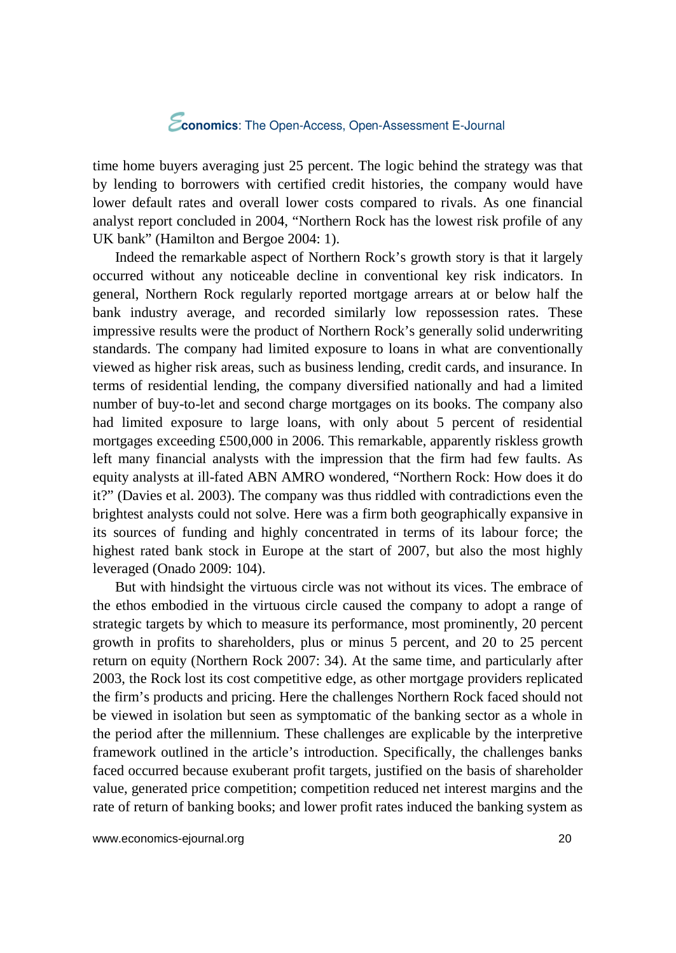time home buyers averaging just 25 percent. The logic behind the strategy was that by lending to borrowers with certified credit histories, the company would have lower default rates and overall lower costs compared to rivals. As one financial analyst report concluded in 2004, "Northern Rock has the lowest risk profile of any UK bank" (Hamilton and Bergoe 2004: 1).

Indeed the remarkable aspect of Northern Rock's growth story is that it largely occurred without any noticeable decline in conventional key risk indicators. In general, Northern Rock regularly reported mortgage arrears at or below half the bank industry average, and recorded similarly low repossession rates. These impressive results were the product of Northern Rock's generally solid underwriting standards. The company had limited exposure to loans in what are conventionally viewed as higher risk areas, such as business lending, credit cards, and insurance. In terms of residential lending, the company diversified nationally and had a limited number of buy-to-let and second charge mortgages on its books. The company also had limited exposure to large loans, with only about 5 percent of residential mortgages exceeding £500,000 in 2006. This remarkable, apparently riskless growth left many financial analysts with the impression that the firm had few faults. As equity analysts at ill-fated ABN AMRO wondered, "Northern Rock: How does it do it?" (Davies et al. 2003). The company was thus riddled with contradictions even the brightest analysts could not solve. Here was a firm both geographically expansive in its sources of funding and highly concentrated in terms of its labour force; the highest rated bank stock in Europe at the start of 2007, but also the most highly leveraged (Onado 2009: 104).

But with hindsight the virtuous circle was not without its vices. The embrace of the ethos embodied in the virtuous circle caused the company to adopt a range of strategic targets by which to measure its performance, most prominently, 20 percent growth in profits to shareholders, plus or minus 5 percent, and 20 to 25 percent return on equity (Northern Rock 2007: 34). At the same time, and particularly after 2003, the Rock lost its cost competitive edge, as other mortgage providers replicated the firm's products and pricing. Here the challenges Northern Rock faced should not be viewed in isolation but seen as symptomatic of the banking sector as a whole in the period after the millennium. These challenges are explicable by the interpretive framework outlined in the article's introduction. Specifically, the challenges banks faced occurred because exuberant profit targets, justified on the basis of shareholder value, generated price competition; competition reduced net interest margins and the rate of return of banking books; and lower profit rates induced the banking system as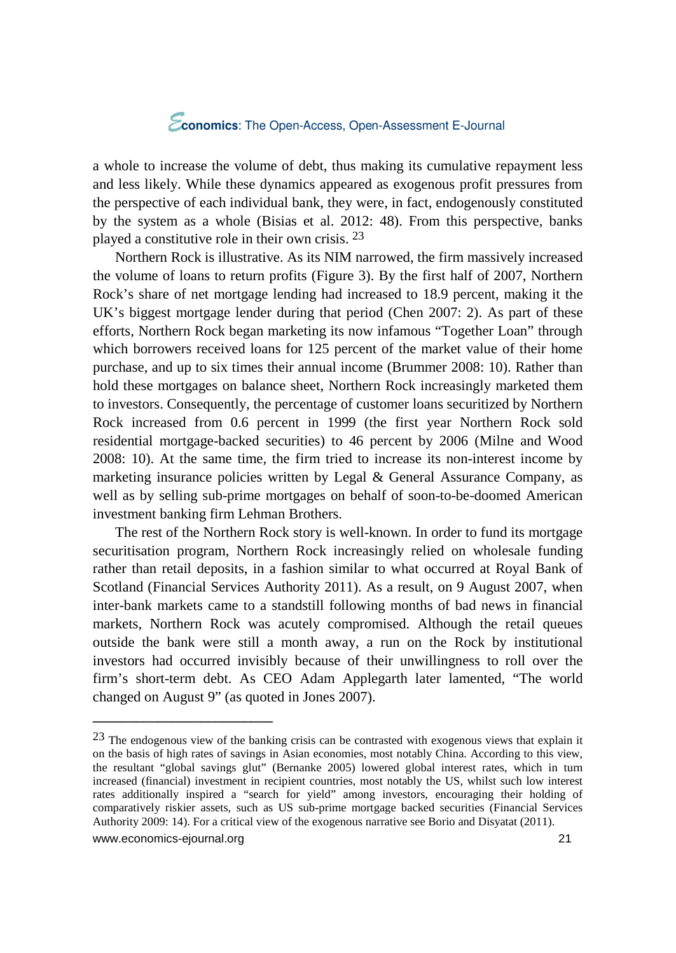a whole to increase the volume of debt, thus making its cumulative repayment less and less likely. While these dynamics appeared as exogenous profit pressures from the perspective of each individual bank, they were, in fact, endogenously constituted by the system as a whole (Bisias et al. 2012: 48). From this perspective, banks played a constitutive role in their own crisis. [23](#page-21-0)

Northern Rock is illustrative. As its NIM narrowed, the firm massively increased the volume of loans to return profits (Figure 3). By the first half of 2007, Northern Rock's share of net mortgage lending had increased to 18.9 percent, making it the UK's biggest mortgage lender during that period (Chen 2007: 2). As part of these efforts, Northern Rock began marketing its now infamous "Together Loan" through which borrowers received loans for 125 percent of the market value of their home purchase, and up to six times their annual income (Brummer 2008: 10). Rather than hold these mortgages on balance sheet, Northern Rock increasingly marketed them to investors. Consequently, the percentage of customer loans securitized by Northern Rock increased from 0.6 percent in 1999 (the first year Northern Rock sold residential mortgage-backed securities) to 46 percent by 2006 (Milne and Wood 2008: 10). At the same time, the firm tried to increase its non-interest income by marketing insurance policies written by Legal & General Assurance Company, as well as by selling sub-prime mortgages on behalf of soon-to-be-doomed American investment banking firm Lehman Brothers.

The rest of the Northern Rock story is well-known. In order to fund its mortgage securitisation program, Northern Rock increasingly relied on wholesale funding rather than retail deposits, in a fashion similar to what occurred at Royal Bank of Scotland (Financial Services Authority 2011). As a result, on 9 August 2007, when inter-bank markets came to a standstill following months of bad news in financial markets, Northern Rock was acutely compromised. Although the retail queues outside the bank were still a month away, a run on the Rock by institutional investors had occurred invisibly because of their unwillingness to roll over the firm's short-term debt. As CEO Adam Applegarth later lamented, "The world changed on August 9" (as quoted in Jones 2007).

<span id="page-21-0"></span> $23$  The endogenous view of the banking crisis can be contrasted with exogenous views that explain it on the basis of high rates of savings in Asian economies, most notably China. According to this view, the resultant "global savings glut" (Bernanke 2005) lowered global interest rates, which in turn increased (financial) investment in recipient countries, most notably the US, whilst such low interest rates additionally inspired a "search for yield" among investors, encouraging their holding of comparatively riskier assets, such as US sub-prime mortgage backed securities (Financial Services Authority 2009: 14). For a critical view of the exogenous narrative see Borio and Disyatat (2011).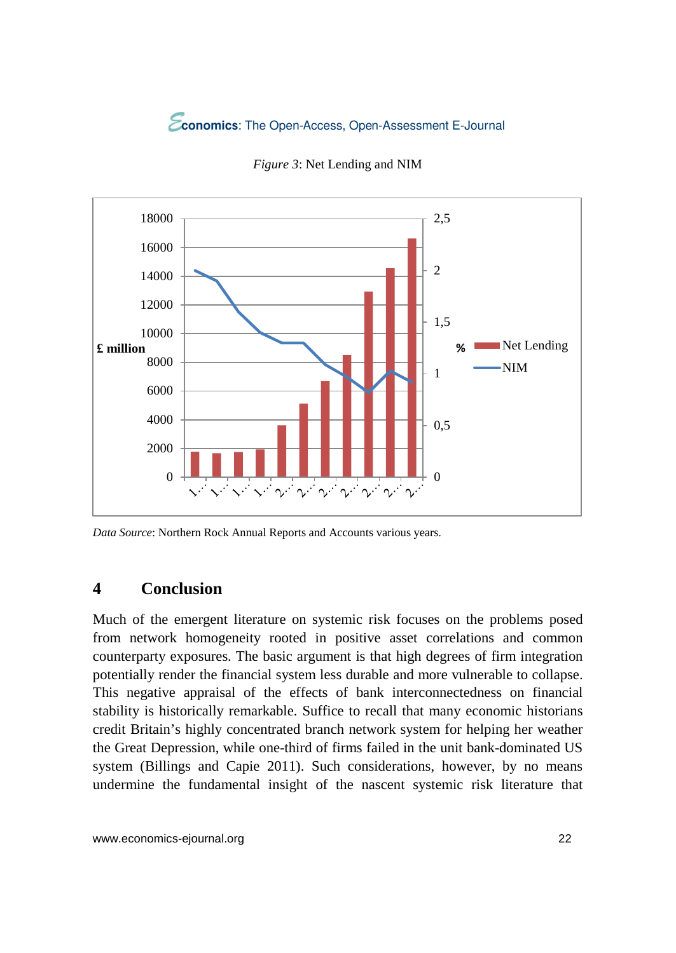

*Figure 3*: Net Lending and NIM

#### **4 Conclusion**

Much of the emergent literature on systemic risk focuses on the problems posed from network homogeneity rooted in positive asset correlations and common counterparty exposures. The basic argument is that high degrees of firm integration potentially render the financial system less durable and more vulnerable to collapse. This negative appraisal of the effects of bank interconnectedness on financial stability is historically remarkable. Suffice to recall that many economic historians credit Britain's highly concentrated branch network system for helping her weather the Great Depression, while one-third of firms failed in the unit bank-dominated US system (Billings and Capie 2011). Such considerations, however, by no means undermine the fundamental insight of the nascent systemic risk literature that

*Data Source*: Northern Rock Annual Reports and Accounts various years.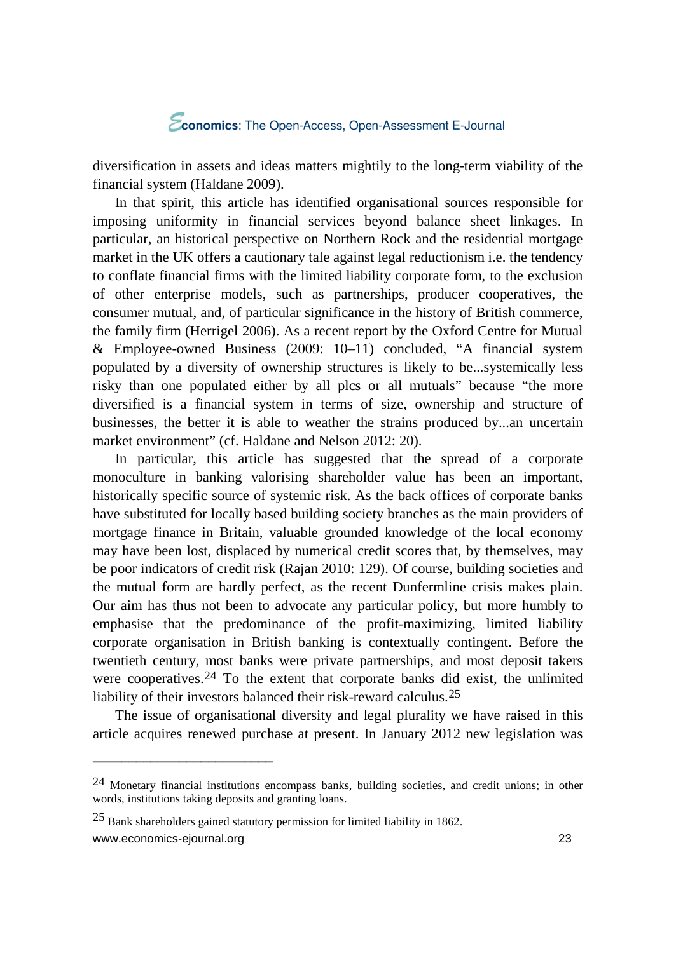diversification in assets and ideas matters mightily to the long-term viability of the financial system (Haldane 2009).

In that spirit, this article has identified organisational sources responsible for imposing uniformity in financial services beyond balance sheet linkages. In particular, an historical perspective on Northern Rock and the residential mortgage market in the UK offers a cautionary tale against legal reductionism i.e. the tendency to conflate financial firms with the limited liability corporate form, to the exclusion of other enterprise models, such as partnerships, producer cooperatives, the consumer mutual, and, of particular significance in the history of British commerce, the family firm (Herrigel 2006). As a recent report by the Oxford Centre for Mutual & Employee-owned Business (2009: 10–11) concluded, "A financial system populated by a diversity of ownership structures is likely to be...systemically less risky than one populated either by all plcs or all mutuals" because "the more diversified is a financial system in terms of size, ownership and structure of businesses, the better it is able to weather the strains produced by...an uncertain market environment" (cf. Haldane and Nelson 2012: 20).

In particular, this article has suggested that the spread of a corporate monoculture in banking valorising shareholder value has been an important, historically specific source of systemic risk. As the back offices of corporate banks have substituted for locally based building society branches as the main providers of mortgage finance in Britain, valuable grounded knowledge of the local economy may have been lost, displaced by numerical credit scores that, by themselves, may be poor indicators of credit risk (Rajan 2010: 129). Of course, building societies and the mutual form are hardly perfect, as the recent Dunfermline crisis makes plain. Our aim has thus not been to advocate any particular policy, but more humbly to emphasise that the predominance of the profit-maximizing, limited liability corporate organisation in British banking is contextually contingent. Before the twentieth century, most banks were private partnerships, and most deposit takers were cooperatives.<sup>[24](#page-23-0)</sup> To the extent that corporate banks did exist, the unlimited liability of their investors balanced their risk-reward calculus.<sup>25</sup>

The issue of organisational diversity and legal plurality we have raised in this article acquires renewed purchase at present. In January 2012 new legislation was

<span id="page-23-0"></span><sup>24</sup> Monetary financial institutions encompass banks, building societies, and credit unions; in other words, institutions taking deposits and granting loans.

<span id="page-23-1"></span>www.economics-ejournal.org 23 25 Bank shareholders gained statutory permission for limited liability in 1862.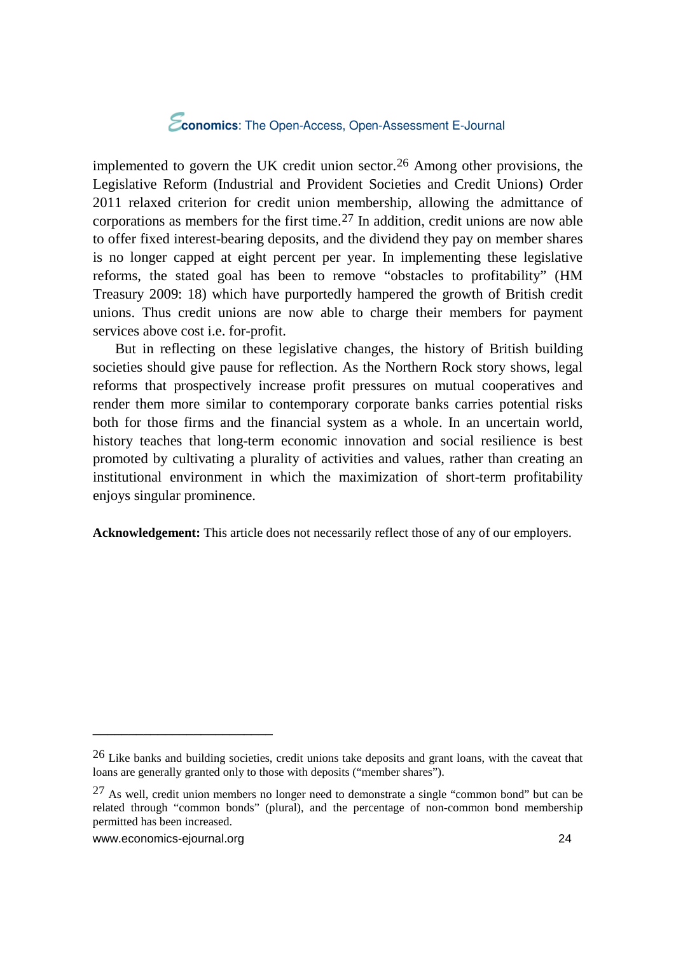implemented to govern the UK credit union sector.<sup>[26](#page-24-0)</sup> Among other provisions, the Legislative Reform (Industrial and Provident Societies and Credit Unions) Order 2011 relaxed criterion for credit union membership, allowing the admittance of corporations as members for the first time.<sup>[27](#page-24-1)</sup> In addition, credit unions are now able to offer fixed interest-bearing deposits, and the dividend they pay on member shares is no longer capped at eight percent per year. In implementing these legislative reforms, the stated goal has been to remove "obstacles to profitability" (HM Treasury 2009: 18) which have purportedly hampered the growth of British credit unions. Thus credit unions are now able to charge their members for payment services above cost i.e. for-profit.

But in reflecting on these legislative changes, the history of British building societies should give pause for reflection. As the Northern Rock story shows, legal reforms that prospectively increase profit pressures on mutual cooperatives and render them more similar to contemporary corporate banks carries potential risks both for those firms and the financial system as a whole. In an uncertain world, history teaches that long-term economic innovation and social resilience is best promoted by cultivating a plurality of activities and values, rather than creating an institutional environment in which the maximization of short-term profitability enjoys singular prominence.

**Acknowledgement:** This article does not necessarily reflect those of any of our employers.

<span id="page-24-0"></span><sup>26</sup> Like banks and building societies, credit unions take deposits and grant loans, with the caveat that loans are generally granted only to those with deposits ("member shares").

<span id="page-24-1"></span> $27$  As well, credit union members no longer need to demonstrate a single "common bond" but can be related through "common bonds" (plural), and the percentage of non-common bond membership permitted has been increased.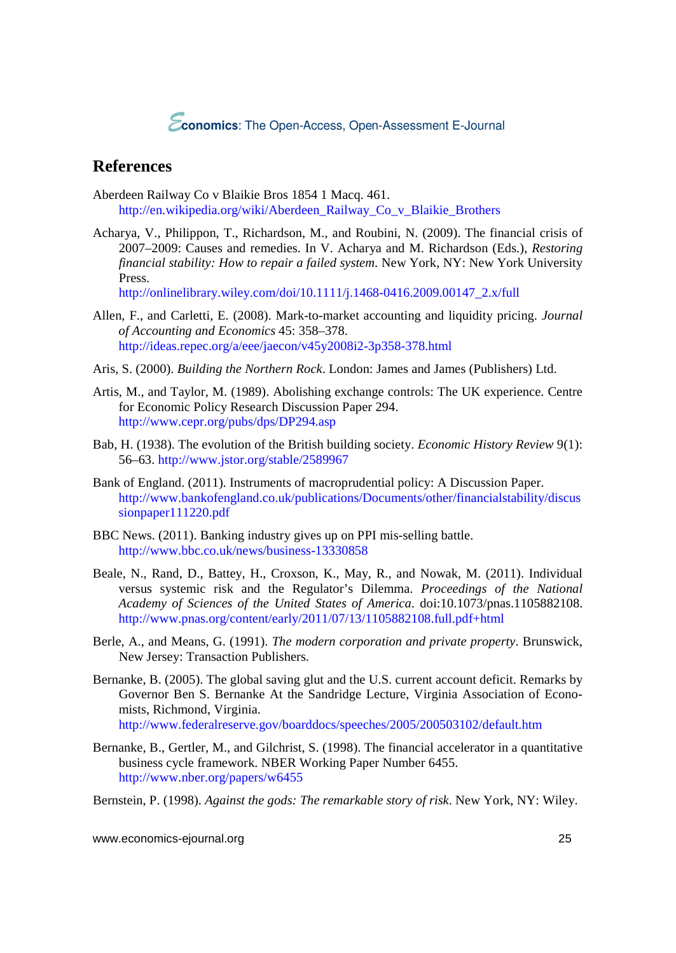

#### **References**

Aberdeen Railway Co v Blaikie Bros 1854 1 Macq. 461. [http://en.wikipedia.org/wiki/Aberdeen\\_Railway\\_Co\\_v\\_Blaikie\\_Brothers](http://en.wikipedia.org/wiki/Aberdeen_Railway_Co_v_Blaikie_Brothers)

Acharya, V., Philippon, T., Richardson, M., and Roubini, N. (2009). The financial crisis of 2007–2009: Causes and remedies. In V. Acharya and M. Richardson (Eds.), *Restoring financial stability: How to repair a failed system*. New York, NY: New York University Press.

[http://onlinelibrary.wiley.com/doi/10.1111/j.1468-0416.2009.00147\\_2.x/full](http://onlinelibrary.wiley.com/doi/10.1111/j.1468-0416.2009.00147_2.x/full)

- Allen, F., and Carletti, E. (2008). Mark-to-market accounting and liquidity pricing. *Journal of Accounting and Economics* 45: 358–378. <http://ideas.repec.org/a/eee/jaecon/v45y2008i2-3p358-378.html>
- Aris, S. (2000). *Building the Northern Rock*. London: James and James (Publishers) Ltd.
- Artis, M., and Taylor, M. (1989). Abolishing exchange controls: The UK experience. Centre for Economic Policy Research Discussion Paper 294. <http://www.cepr.org/pubs/dps/DP294.asp>
- Bab, H. (1938). The evolution of the British building society. *Economic History Review* 9(1): 56–63. http://www.jstor.org/stable/2589967
- Bank of England. (2011). Instruments of macroprudential policy: A Discussion Paper. http://www.bankofengland.co.uk/publications/Documents/other/financialstability/discus sionpaper111220.pdf
- BBC News. (2011). Banking industry gives up on PPI mis-selling battle. http://www.bbc.co.uk/news/business-13330858
- Beale, N., Rand, D., Battey, H., Croxson, K., May, R., and Nowak, M. (2011). Individual versus systemic risk and the Regulator's Dilemma. *Proceedings of the National Academy of Sciences of the United States of America*. doi:10.1073/pnas.1105882108. http://www.pnas.org/content/early/2011/07/13/1105882108.full.pdf+html
- Berle, A., and Means, G. (1991). *The modern corporation and private property*. Brunswick, New Jersey: Transaction Publishers.
- Bernanke, B. (2005). The global saving glut and the U.S. current account deficit. Remarks by Governor Ben S. Bernanke At the Sandridge Lecture, Virginia Association of Economists, Richmond, Virginia. http://www.federalreserve.gov/boarddocs/speeches/2005/200503102/default.htm
- Bernanke, B., Gertler, M., and Gilchrist, S. (1998). The financial accelerator in a quantitative business cycle framework. NBER Working Paper Number 6455. http://www.nber.org/papers/w6455

Bernstein, P. (1998). *Against the gods: The remarkable story of risk*. New York, NY: Wiley.

www.economics-ejournal.org 25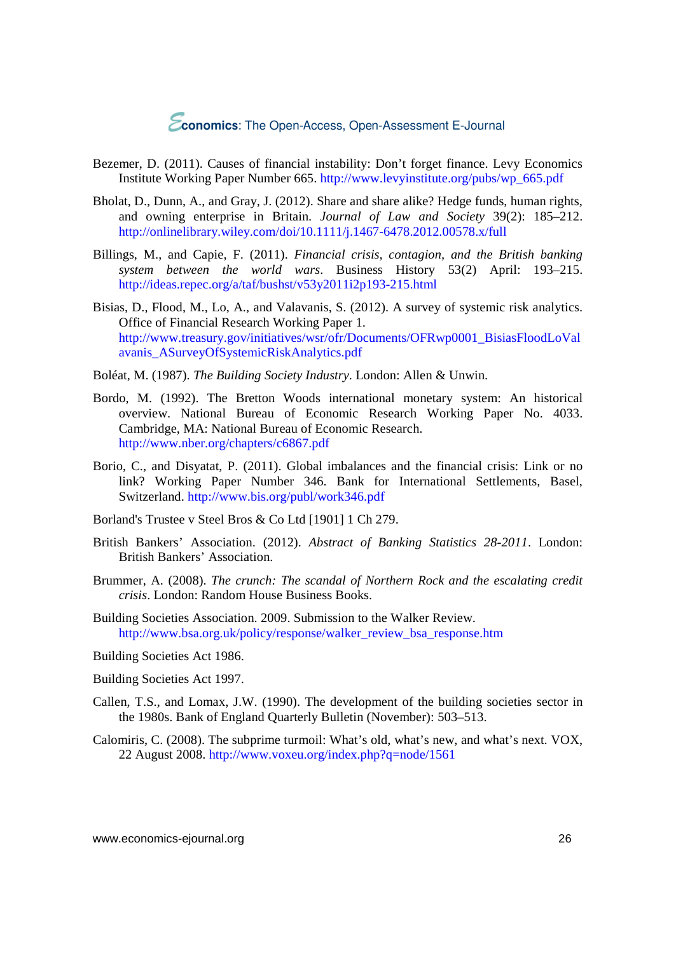- Bezemer, D. (2011). Causes of financial instability: Don't forget finance. Levy Economics Institute Working Paper Number 665. http://www.levyinstitute.org/pubs/wp\_665.pdf
- Bholat, D., Dunn, A., and Gray, J. (2012). Share and share alike? Hedge funds, human rights, and owning enterprise in Britain. *Journal of Law and Society* 39(2): 185–212. http://onlinelibrary.wiley.com/doi/10.1111/j.1467-6478.2012.00578.x/full
- Billings, M., and Capie, F. (2011). *Financial crisis, contagion, and the British banking system between the world wars*. Business History 53(2) April: 193–215. <http://ideas.repec.org/a/taf/bushst/v53y2011i2p193-215.html>
- Bisias, D., Flood, M., Lo, A., and Valavanis, S. (2012). A survey of systemic risk analytics. Office of Financial Research Working Paper 1. http://www.treasury.gov/initiatives/wsr/ofr/Documents/OFRwp0001\_BisiasFloodLoVal avanis\_ASurveyOfSystemicRiskAnalytics.pdf
- Boléat, M. (1987). *The Building Society Industry*. London: Allen & Unwin.
- Bordo, M. (1992). The Bretton Woods international monetary system: An historical overview. National Bureau of Economic Research Working Paper No. 4033. Cambridge, MA: National Bureau of Economic Research. http://www.nber.org/chapters/c6867.pdf
- Borio, C., and Disyatat, P. (2011). Global imbalances and the financial crisis: Link or no link? Working Paper Number 346. Bank for International Settlements, Basel, Switzerland. http://www.bis.org/publ/work346.pdf
- Borland's Trustee v Steel Bros & Co Ltd [1901] 1 Ch 279.
- British Bankers' Association. (2012). *Abstract of Banking Statistics 28-2011*. London: British Bankers' Association.
- Brummer, A. (2008). *The crunch: The scandal of Northern Rock and the escalating credit crisis*. London: Random House Business Books.
- Building Societies Association. 2009. Submission to the Walker Review. [http://www.bsa.org.uk/policy/response/walker\\_review\\_bsa\\_response.htm](http://www.bsa.org.uk/policy/response/walker_review_bsa_response.htm)
- Building Societies Act 1986.
- Building Societies Act 1997.
- Callen, T.S., and Lomax, J.W. (1990). The development of the building societies sector in the 1980s. Bank of England Quarterly Bulletin (November): 503–513.
- Calomiris, C. (2008). The subprime turmoil: What's old, what's new, and what's next. VOX, 22 August 2008. http://www.voxeu.org/index.php?q=node/1561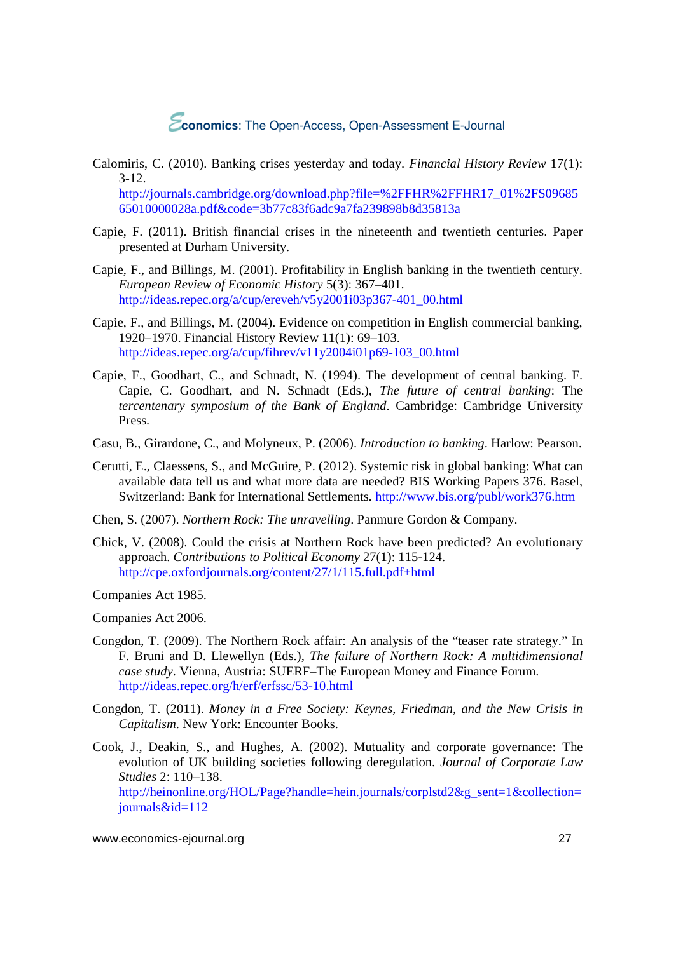- Calomiris, C. (2010). Banking crises yesterday and today. *Financial History Review* 17(1): 3-12. http://journals.cambridge.org/download.php?file=%2FFHR%2FFHR17\_01%2FS09685 65010000028a.pdf&code=3b77c83f6adc9a7fa239898b8d35813a
- Capie, F. (2011). British financial crises in the nineteenth and twentieth centuries. Paper presented at Durham University.
- Capie, F., and Billings, M. (2001). Profitability in English banking in the twentieth century. *European Review of Economic History* 5(3): 367–401. [http://ideas.repec.org/a/cup/ereveh/v5y2001i03p367-401\\_00.html](http://ideas.repec.org/a/cup/ereveh/v5y2001i03p367-401_00.html)
- Capie, F., and Billings, M. (2004). Evidence on competition in English commercial banking, 1920–1970. Financial History Review 11(1): 69–103. [http://ideas.repec.org/a/cup/fihrev/v11y2004i01p69-103\\_00.html](http://ideas.repec.org/a/cup/fihrev/v11y2004i01p69-103_00.html)
- Capie, F., Goodhart, C., and Schnadt, N. (1994). The development of central banking. F. Capie, C. Goodhart, and N. Schnadt (Eds.), *The future of central banking*: The *tercentenary symposium of the Bank of England*. Cambridge: Cambridge University Press.
- Casu, B., Girardone, C., and Molyneux, P. (2006). *Introduction to banking*. Harlow: Pearson.
- Cerutti, E., Claessens, S., and McGuire, P. (2012). Systemic risk in global banking: What can available data tell us and what more data are needed? BIS Working Papers 376. Basel, Switzerland: Bank for International Settlements. http://www.bis.org/publ/work376.htm
- Chen, S. (2007). *Northern Rock: The unravelling*. Panmure Gordon & Company.
- Chick, V. (2008). Could the crisis at Northern Rock have been predicted? An evolutionary approach. *Contributions to Political Economy* 27(1): 115-124. http://cpe.oxfordjournals.org/content/27/1/115.full.pdf+html

Companies Act 1985.

Companies Act 2006.

- Congdon, T. (2009). The Northern Rock affair: An analysis of the "teaser rate strategy." In F. Bruni and D. Llewellyn (Eds.), *The failure of Northern Rock: A multidimensional case study*. Vienna, Austria: SUERF–The European Money and Finance Forum. <http://ideas.repec.org/h/erf/erfssc/53-10.html>
- Congdon, T. (2011). *Money in a Free Society: Keynes, Friedman, and the New Crisis in Capitalism*. New York: Encounter Books.
- Cook, J., Deakin, S., and Hughes, A. (2002). Mutuality and corporate governance: The evolution of UK building societies following deregulation. *Journal of Corporate Law Studies* 2: 110–138. http://heinonline.org/HOL/Page?handle=hein.journals/corplstd2&g\_sent=1&collection= journals&id=112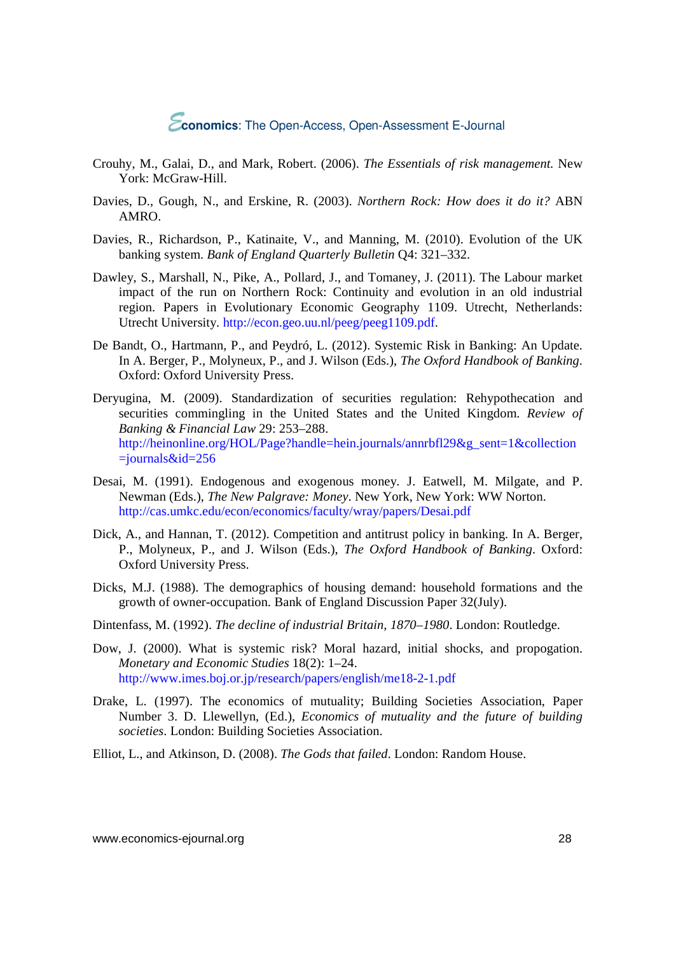- Crouhy, M., Galai, D., and Mark, Robert. (2006). *The Essentials of risk management.* New York: McGraw-Hill.
- Davies, D., Gough, N., and Erskine, R. (2003). *Northern Rock: How does it do it?* ABN AMRO.
- Davies, R., Richardson, P., Katinaite, V., and Manning, M. (2010). Evolution of the UK banking system. *Bank of England Quarterly Bulletin* Q4: 321–332.
- Dawley, S., Marshall, N., Pike, A., Pollard, J., and Tomaney, J. (2011). The Labour market impact of the run on Northern Rock: Continuity and evolution in an old industrial region. Papers in Evolutionary Economic Geography 1109. Utrecht, Netherlands: Utrecht University. [http://econ.geo.uu.nl/peeg/peeg1109.pdf.](http://econ.geo.uu.nl/peeg/peeg1109.pdf)
- De Bandt, O., Hartmann, P., and Peydró, L. (2012). Systemic Risk in Banking: An Update. In A. Berger, P., Molyneux, P., and J. Wilson (Eds.), *The Oxford Handbook of Banking*. Oxford: Oxford University Press.
- Deryugina, M. (2009). Standardization of securities regulation: Rehypothecation and securities commingling in the United States and the United Kingdom. *Review of Banking & Financial Law* 29: 253–288. [http://heinonline.org/HOL/Page?handle=hein.journals/annrbfl29&g\\_sent=1&collection](http://heinonline.org/HOL/Page?handle=hein.journals/annrbfl29&g_sent=1&collection=journals&id=256)  $=$ journals $&$ id $=$ 256
- Desai, M. (1991). Endogenous and exogenous money*.* J. Eatwell, M. Milgate, and P. Newman (Eds.), *The New Palgrave: Money*. New York, New York: WW Norton. <http://cas.umkc.edu/econ/economics/faculty/wray/papers/Desai.pdf>
- Dick, A., and Hannan, T. (2012). Competition and antitrust policy in banking. In A. Berger, P., Molyneux, P., and J. Wilson (Eds.), *The Oxford Handbook of Banking*. Oxford: Oxford University Press.
- Dicks, M.J. (1988). The demographics of housing demand: household formations and the growth of owner-occupation. Bank of England Discussion Paper 32(July).
- Dintenfass, M. (1992). *The decline of industrial Britain, 1870–1980*. London: Routledge.
- Dow, J. (2000). What is systemic risk? Moral hazard, initial shocks, and propogation. *Monetary and Economic Studies* 18(2): 1–24. http://www.imes.boj.or.jp/research/papers/english/me18-2-1.pdf
- Drake, L. (1997). The economics of mutuality; Building Societies Association, Paper Number 3. D. Llewellyn, (Ed.), *Economics of mutuality and the future of building societies*. London: Building Societies Association.
- Elliot, L., and Atkinson, D. (2008). *The Gods that failed*. London: Random House.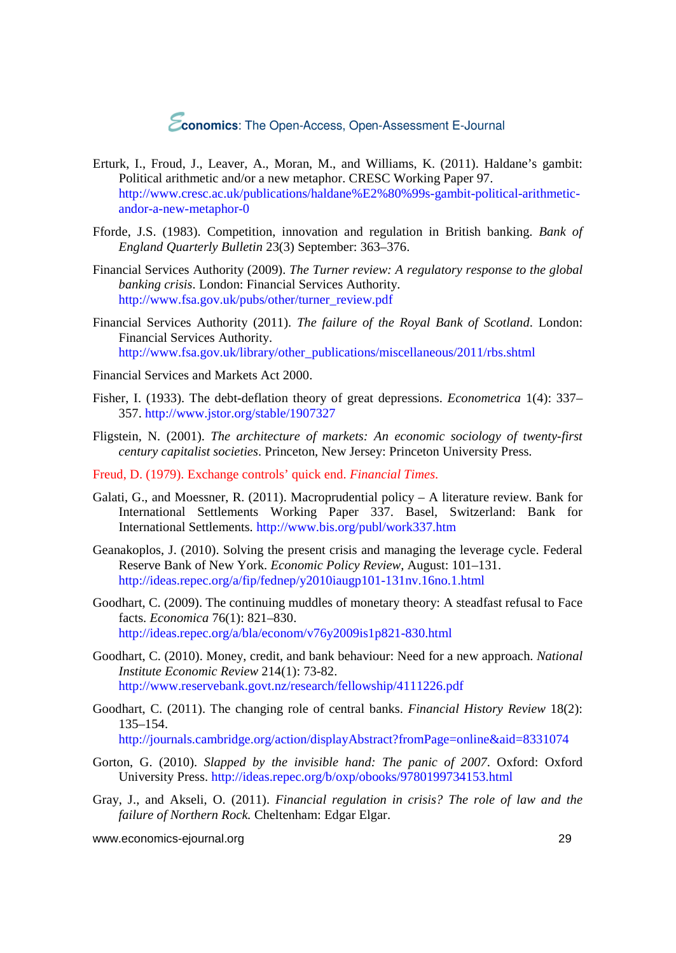- Erturk, I., Froud, J., Leaver, A., Moran, M., and Williams, K. (2011). Haldane's gambit: Political arithmetic and/or a new metaphor. CRESC Working Paper 97. [http://www.cresc.ac.uk/publications/haldane%E2%80%99s-gambit-political-arithmetic](http://www.cresc.ac.uk/publications/haldane%E2%80%99s-gambit-political-arithmetic-andor-a-new-metaphor-0)[andor-a-new-metaphor-0](http://www.cresc.ac.uk/publications/haldane%E2%80%99s-gambit-political-arithmetic-andor-a-new-metaphor-0)
- Fforde, J.S. (1983). Competition, innovation and regulation in British banking. *Bank of England Quarterly Bulletin* 23(3) September: 363–376.
- Financial Services Authority (2009). *The Turner review: A regulatory response to the global banking crisis*. London: Financial Services Authority. http://www.fsa.gov.uk/pubs/other/turner\_review.pdf
- Financial Services Authority (2011). *The failure of the Royal Bank of Scotland*. London: Financial Services Authority. http://www.fsa.gov.uk/library/other\_publications/miscellaneous/2011/rbs.shtml
- Financial Services and Markets Act 2000.
- Fisher, I. (1933). The debt-deflation theory of great depressions. *Econometrica* 1(4): 337– 357. http://www.jstor.org/stable/1907327
- Fligstein, N. (2001). *The architecture of markets: An economic sociology of twenty-first century capitalist societies*. Princeton, New Jersey: Princeton University Press.
- Freud, D. (1979). Exchange controls' quick end. *Financial Times*.
- Galati, G., and Moessner, R. (2011). Macroprudential policy  $-$  A literature review. Bank for International Settlements Working Paper 337. Basel, Switzerland: Bank for International Settlements. http://www.bis.org/publ/work337.htm
- Geanakoplos, J. (2010). Solving the present crisis and managing the leverage cycle. Federal Reserve Bank of New York. *Economic Policy Review*, August: 101–131. http://ideas.repec.org/a/fip/fednep/y2010iaugp101-131nv.16no.1.html
- Goodhart, C. (2009). The continuing muddles of monetary theory: A steadfast refusal to Face facts. *Economica* 76(1): 821–830. <http://ideas.repec.org/a/bla/econom/v76y2009is1p821-830.html>
- Goodhart, C. (2010). Money, credit, and bank behaviour: Need for a new approach. *National Institute Economic Review* 214(1): 73-82. <http://www.reservebank.govt.nz/research/fellowship/4111226.pdf>
- Goodhart, C. (2011). The changing role of central banks. *Financial History Review* 18(2): 135–154. <http://journals.cambridge.org/action/displayAbstract?fromPage=online&aid=8331074>
- Gorton, G. (2010). *Slapped by the invisible hand: The panic of 2007*. Oxford: Oxford University Press. <http://ideas.repec.org/b/oxp/obooks/9780199734153.html>
- Gray, J., and Akseli, O. (2011). *Financial regulation in crisis? The role of law and the failure of Northern Rock.* Cheltenham: Edgar Elgar.

www.economics-ejournal.org 29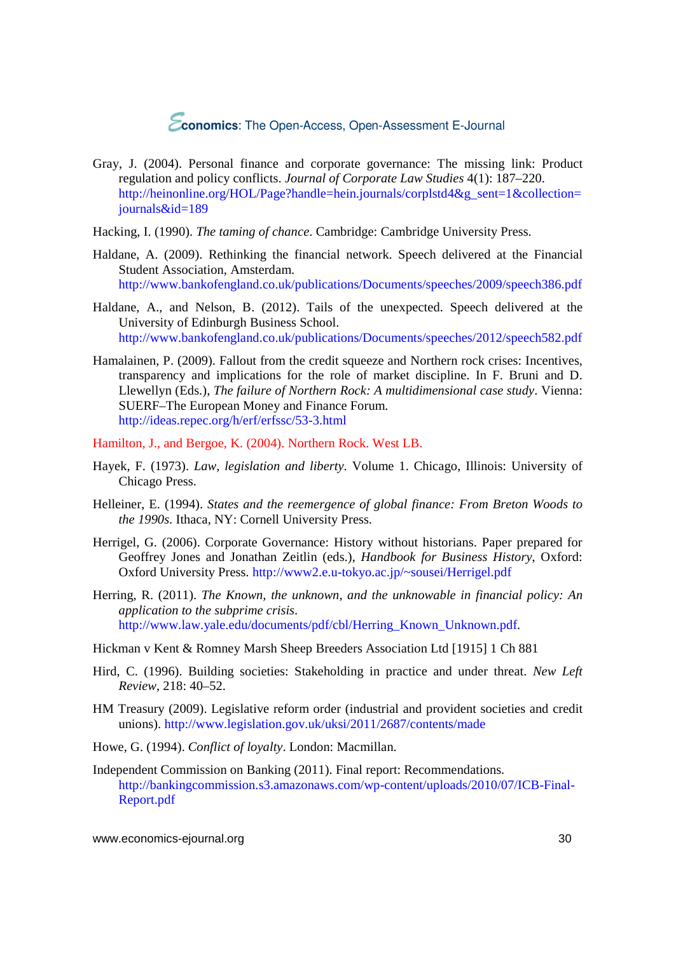- Gray, J. (2004). Personal finance and corporate governance: The missing link: Product regulation and policy conflicts. *Journal of Corporate Law Studies* 4(1): 187–220. http://heinonline.org/HOL/Page?handle=hein.journals/corplstd4&g\_sent=1&collection= journals&id=189
- Hacking, I. (1990). *The taming of chance*. Cambridge: Cambridge University Press.
- Haldane, A. (2009). Rethinking the financial network. Speech delivered at the Financial Student Association, Amsterdam. http://www.bankofengland.co.uk/publications/Documents/speeches/2009/speech386.pdf
- Haldane, A., and Nelson, B. (2012). Tails of the unexpected. Speech delivered at the University of Edinburgh Business School. http://www.bankofengland.co.uk/publications/Documents/speeches/2012/speech582.pdf
- Hamalainen, P. (2009). Fallout from the credit squeeze and Northern rock crises: Incentives, transparency and implications for the role of market discipline. In F. Bruni and D. Llewellyn (Eds.), *The failure of Northern Rock: A multidimensional case study*. Vienna: SUERF–The European Money and Finance Forum. <http://ideas.repec.org/h/erf/erfssc/53-3.html>

Hamilton, J., and Bergoe, K. (2004). Northern Rock. West LB.

- Hayek, F. (1973). *Law, legislation and liberty*. Volume 1. Chicago, Illinois: University of Chicago Press.
- Helleiner, E. (1994). *States and the reemergence of global finance: From Breton Woods to the 1990s*. Ithaca, NY: Cornell University Press.
- Herrigel, G. (2006). Corporate Governance: History without historians. Paper prepared for Geoffrey Jones and Jonathan Zeitlin (eds.), *Handbook for Business History*, Oxford: Oxford University Press. http://www2.e.u-tokyo.ac.jp/~sousei/Herrigel.pdf
- Herring, R. (2011). *The Known, the unknown, and the unknowable in financial policy: An application to the subprime crisis*. [http://www.law.yale.edu/documents/pdf/cbl/Herring\\_Known\\_Unknown.pdf.](http://www.law.yale.edu/documents/pdf/cbl/Herring_Known_Unknown.pdf)
- Hickman v Kent & Romney Marsh Sheep Breeders Association Ltd [1915] 1 Ch 881
- Hird, C. (1996). Building societies: Stakeholding in practice and under threat. *New Left Review*, 218: 40–52.
- HM Treasury (2009). Legislative reform order (industrial and provident societies and credit unions). http://www.legislation.gov.uk/uksi/2011/2687/contents/made
- Howe, G. (1994). *Conflict of loyalty*. London: Macmillan.
- Independent Commission on Banking (2011). Final report: Recommendations. http://bankingcommission.s3.amazonaws.com/wp-content/uploads/2010/07/ICB-Final-Report.pdf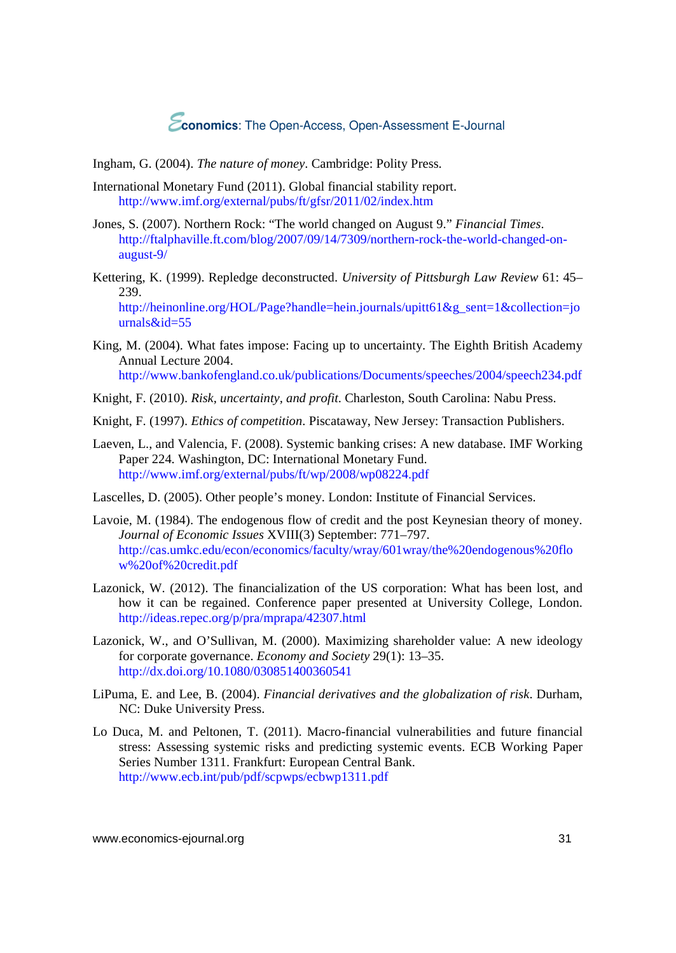Ingham, G. (2004). *The nature of money*. Cambridge: Polity Press.

- International Monetary Fund (2011). Global financial stability report. http://www.imf.org/external/pubs/ft/gfsr/2011/02/index.htm
- Jones, S. (2007). Northern Rock: "The world changed on August 9." *Financial Times*. http://ftalphaville.ft.com/blog/2007/09/14/7309/northern-rock-the-world-changed-onaugust-9/
- Kettering, K. (1999). Repledge deconstructed. *University of Pittsburgh Law Review* 61: 45– 239. http://heinonline.org/HOL/Page?handle=hein.journals/upitt61&g\_sent=1&collection=jo urnals&id=55
- King, M. (2004). What fates impose: Facing up to uncertainty. The Eighth British Academy Annual Lecture 2004. http://www.bankofengland.co.uk/publications/Documents/speeches/2004/speech234.pdf
- Knight, F. (2010). *Risk, uncertainty, and profit*. Charleston, South Carolina: Nabu Press.
- Knight, F. (1997). *Ethics of competition*. Piscataway, New Jersey: Transaction Publishers.
- Laeven, L., and Valencia, F. (2008). Systemic banking crises: A new database. IMF Working Paper 224. Washington, DC: International Monetary Fund. http://www.imf.org/external/pubs/ft/wp/2008/wp08224.pdf
- Lascelles, D. (2005). Other people's money. London: Institute of Financial Services.
- Lavoie, M. (1984). The endogenous flow of credit and the post Keynesian theory of money. *Journal of Economic Issues* XVIII(3) September: 771–797. http://cas.umkc.edu/econ/economics/faculty/wray/601wray/the%20endogenous%20flo w%20of%20credit.pdf
- Lazonick, W. (2012). The financialization of the US corporation: What has been lost, and how it can be regained. Conference paper presented at University College, London. <http://ideas.repec.org/p/pra/mprapa/42307.html>
- Lazonick, W., and O'Sullivan, M. (2000). Maximizing shareholder value: A new ideology for corporate governance. *Economy and Society* 29(1): 13–35. <http://dx.doi.org/10.1080/030851400360541>
- LiPuma, E. and Lee, B. (2004). *Financial derivatives and the globalization of risk*. Durham, NC: Duke University Press.
- Lo Duca, M. and Peltonen, T. (2011). Macro-financial vulnerabilities and future financial stress: Assessing systemic risks and predicting systemic events. ECB Working Paper Series Number 1311. Frankfurt: European Central Bank. http://www.ecb.int/pub/pdf/scpwps/ecbwp1311.pdf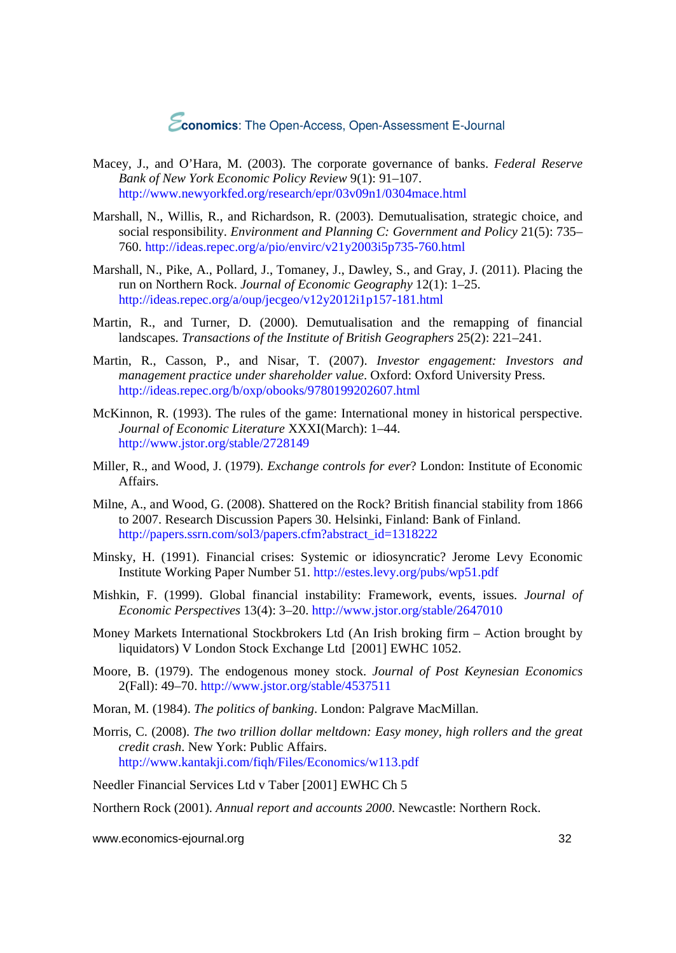- Macey, J., and O'Hara, M. (2003). The corporate governance of banks. *Federal Reserve Bank of New York Economic Policy Review* 9(1): 91–107. http://www.newyorkfed.org/research/epr/03v09n1/0304mace.html
- Marshall, N., Willis, R., and Richardson, R. (2003). Demutualisation, strategic choice, and social responsibility. *Environment and Planning C: Government and Policy* 21(5): 735– 760. <http://ideas.repec.org/a/pio/envirc/v21y2003i5p735-760.html>
- Marshall, N., Pike, A., Pollard, J., Tomaney, J., Dawley, S., and Gray, J. (2011). Placing the run on Northern Rock. *Journal of Economic Geography* 12(1): 1–25. <http://ideas.repec.org/a/oup/jecgeo/v12y2012i1p157-181.html>
- Martin, R., and Turner, D. (2000). Demutualisation and the remapping of financial landscapes. *Transactions of the Institute of British Geographers* 25(2): 221–241.
- Martin, R., Casson, P., and Nisar, T. (2007). *Investor engagement: Investors and management practice under shareholder value*. Oxford: Oxford University Press. <http://ideas.repec.org/b/oxp/obooks/9780199202607.html>
- McKinnon, R. (1993). The rules of the game: International money in historical perspective. *Journal of Economic Literature* XXXI(March): 1–44. http://www.jstor.org/stable/2728149
- Miller, R., and Wood, J. (1979). *Exchange controls for ever*? London: Institute of Economic Affairs.
- Milne, A., and Wood, G. (2008). Shattered on the Rock? British financial stability from 1866 to 2007. Research Discussion Papers 30. Helsinki, Finland: Bank of Finland. http://papers.ssrn.com/sol3/papers.cfm?abstract\_id=1318222
- Minsky, H. (1991). Financial crises: Systemic or idiosyncratic? Jerome Levy Economic Institute Working Paper Number 51. http://estes.levy.org/pubs/wp51.pdf
- Mishkin, F. (1999). Global financial instability: Framework, events, issues. *Journal of Economic Perspectives* 13(4): 3–20. <http://www.jstor.org/stable/2647010>
- Money Markets International Stockbrokers Ltd (An Irish broking firm Action brought by liquidators) V London Stock Exchange Ltd [2001] EWHC 1052.
- Moore, B. (1979). The endogenous money stock. *Journal of Post Keynesian Economics* 2(Fall): 49–70. http://www.jstor.org/stable/4537511
- Moran, M. (1984). *The politics of banking*. London: Palgrave MacMillan.
- Morris, C. (2008). *The two trillion dollar meltdown: Easy money, high rollers and the great credit crash*. New York: Public Affairs. <http://www.kantakji.com/fiqh/Files/Economics/w113.pdf>

Needler Financial Services Ltd v Taber [2001] EWHC Ch 5

Northern Rock (2001). *Annual report and accounts 2000*. Newcastle: Northern Rock.

www.economics-ejournal.org 32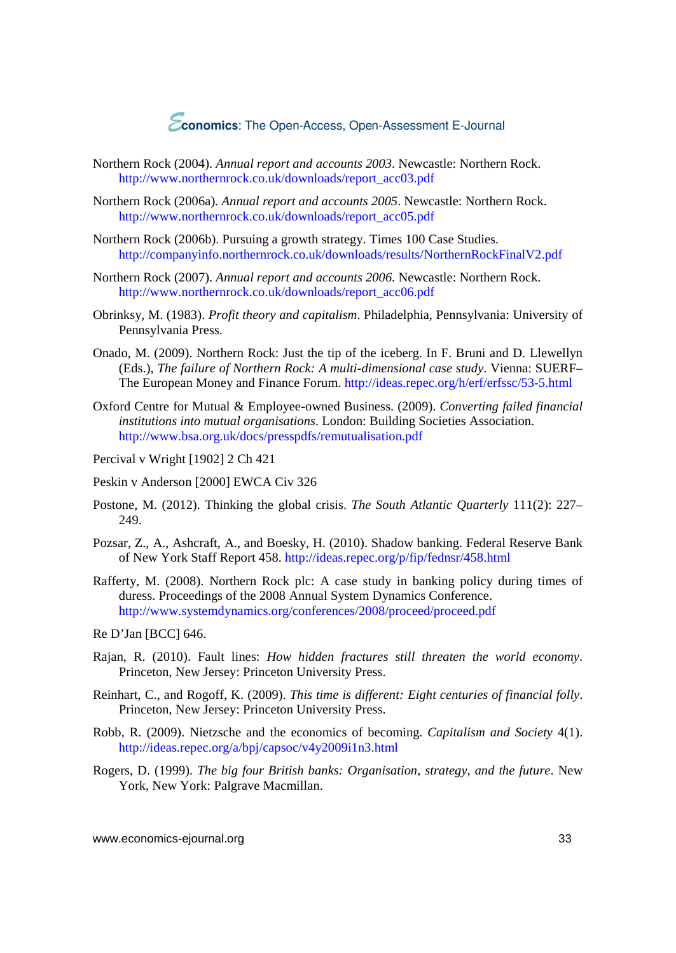- Northern Rock (2004). *Annual report and accounts 2003*. Newcastle: Northern Rock. http://www.northernrock.co.uk/downloads/report\_acc03.pdf
- Northern Rock (2006a). *Annual report and accounts 2005*. Newcastle: Northern Rock. [http://www.northernrock.co.uk/downloads/report\\_acc05.pdf](http://www.northernrock.co.uk/downloads/report_acc05.pdf)
- Northern Rock (2006b). Pursuing a growth strategy. Times 100 Case Studies. http://companyinfo.northernrock.co.uk/downloads/results/NorthernRockFinalV2.pdf
- Northern Rock (2007). *Annual report and accounts 2006*. Newcastle: Northern Rock. http://www.northernrock.co.uk/downloads/report\_acc06.pdf
- Obrinksy, M. (1983). *Profit theory and capitalism*. Philadelphia, Pennsylvania: University of Pennsylvania Press.
- Onado, M. (2009). Northern Rock: Just the tip of the iceberg. In F. Bruni and D. Llewellyn (Eds.), *The failure of Northern Rock: A multi-dimensional case study*. Vienna: SUERF– The European Money and Finance Forum. <http://ideas.repec.org/h/erf/erfssc/53-5.html>
- Oxford Centre for Mutual & Employee-owned Business. (2009). *Converting failed financial institutions into mutual organisations*. London: Building Societies Association. <http://www.bsa.org.uk/docs/presspdfs/remutualisation.pdf>
- Percival v Wright [1902] 2 Ch 421
- Peskin v Anderson [2000] EWCA Civ 326
- Postone, M. (2012). Thinking the global crisis. *The South Atlantic Quarterly* 111(2): 227– 249.
- Pozsar, Z., A., Ashcraft, A., and Boesky, H. (2010). Shadow banking. Federal Reserve Bank of New York Staff Report 458. <http://ideas.repec.org/p/fip/fednsr/458.html>
- Rafferty, M. (2008). Northern Rock plc: A case study in banking policy during times of duress. Proceedings of the 2008 Annual System Dynamics Conference. http://www.systemdynamics.org/conferences/2008/proceed/proceed.pdf
- Re D'Jan [BCC] 646.
- Rajan, R. (2010). Fault lines: *How hidden fractures still threaten the world economy*. Princeton, New Jersey: Princeton University Press.
- Reinhart, C., and Rogoff, K. (2009). *This time is different: Eight centuries of financial folly*. Princeton, New Jersey: Princeton University Press.
- Robb, R. (2009). Nietzsche and the economics of becoming. *Capitalism and Society* 4(1). <http://ideas.repec.org/a/bpj/capsoc/v4y2009i1n3.html>
- Rogers, D. (1999). *The big four British banks: Organisation, strategy, and the future*. New York, New York: Palgrave Macmillan.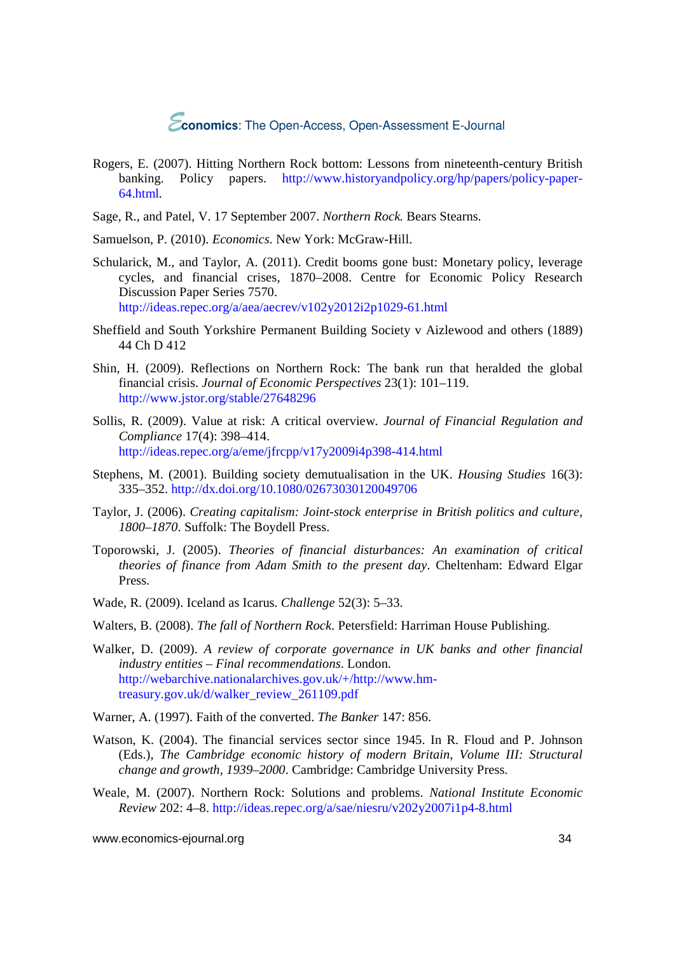- Rogers, E. (2007). Hitting Northern Rock bottom: Lessons from nineteenth-century British banking. Policy papers. [http://www.historyandpolicy.org/hp/papers/policy-paper-](http://www.historyandpolicy.org/hp/papers/policy-paper-64.html)[64.html.](http://www.historyandpolicy.org/hp/papers/policy-paper-64.html)
- Sage, R., and Patel, V. 17 September 2007. *Northern Rock.* Bears Stearns.
- Samuelson, P. (2010). *Economics*. New York: McGraw-Hill.
- Schularick, M., and Taylor, A. (2011). Credit booms gone bust: Monetary policy, leverage cycles, and financial crises, 1870–2008. Centre for Economic Policy Research Discussion Paper Series 7570. <http://ideas.repec.org/a/aea/aecrev/v102y2012i2p1029-61.html>
- Sheffield and South Yorkshire Permanent Building Society v Aizlewood and others (1889) 44 Ch D 412
- Shin, H. (2009). Reflections on Northern Rock: The bank run that heralded the global financial crisis. *Journal of Economic Perspectives* 23(1): 101–119. http://www.jstor.org/stable/27648296
- Sollis, R. (2009). Value at risk: A critical overview. *Journal of Financial Regulation and Compliance* 17(4): 398–414. <http://ideas.repec.org/a/eme/jfrcpp/v17y2009i4p398-414.html>
- Stephens, M. (2001). Building society demutualisation in the UK. *Housing Studies* 16(3): 335–352. http://dx.doi.org/10.1080/02673030120049706
- Taylor, J. (2006). *Creating capitalism: Joint-stock enterprise in British politics and culture, 1800–1870*. Suffolk: The Boydell Press.
- Toporowski, J. (2005). *Theories of financial disturbances: An examination of critical theories of finance from Adam Smith to the present day*. Cheltenham: Edward Elgar Press.
- Wade, R. (2009). Iceland as Icarus. *Challenge* 52(3): 5–33.
- Walters, B. (2008). *The fall of Northern Rock*. Petersfield: Harriman House Publishing.
- Walker, D. (2009). *A review of corporate governance in UK banks and other financial industry entities – Final recommendations*. London. http://webarchive.nationalarchives.gov.uk/+/http://www.hmtreasury.gov.uk/d/walker\_review\_261109.pdf

Warner, A. (1997). Faith of the converted. *The Banker* 147: 856.

- Watson, K. (2004). The financial services sector since 1945. In R. Floud and P. Johnson (Eds.), *The Cambridge economic history of modern Britain, Volume III: Structural change and growth, 1939–2000*. Cambridge: Cambridge University Press.
- Weale, M. (2007). Northern Rock: Solutions and problems. *National Institute Economic Review* 202: 4–8. <http://ideas.repec.org/a/sae/niesru/v202y2007i1p4-8.html>

www.economics-ejournal.org 34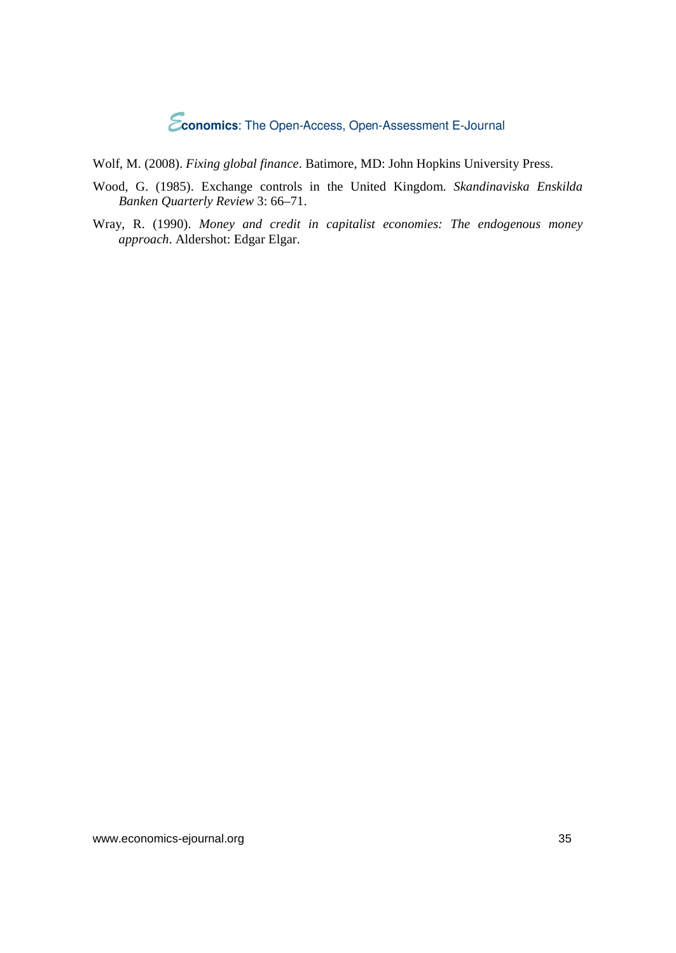Wolf, M. (2008). *Fixing global finance*. Batimore, MD: John Hopkins University Press.

- Wood, G. (1985). Exchange controls in the United Kingdom. *Skandinaviska Enskilda Banken Quarterly Review* 3: 66–71.
- Wray, R. (1990). *Money and credit in capitalist economies: The endogenous money approach*. Aldershot: Edgar Elgar.